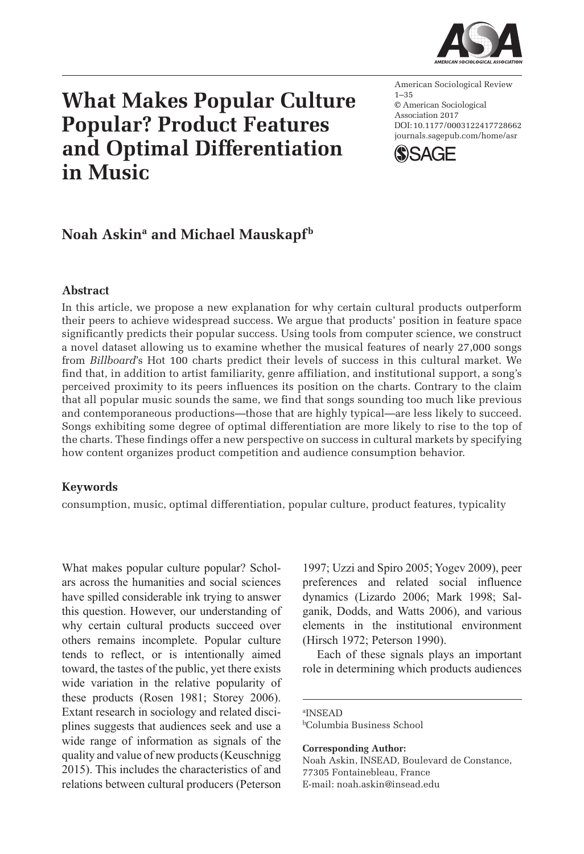

# **What Makes Popular Culture Popular? Product Features and Optimal Differentiation in Music**

DOI: 10.1177/0003122417728662 American Sociological Review 1–35 © American Sociological Association 2017 [journals.sagepub.com/home/asr](https://journals.sagepub.com/home/asr)



# Noah Askin<sup>a</sup> and Michael Mauskapf<sup>b</sup>

## **Abstract**

In this article, we propose a new explanation for why certain cultural products outperform their peers to achieve widespread success. We argue that products' position in feature space significantly predicts their popular success. Using tools from computer science, we construct a novel dataset allowing us to examine whether the musical features of nearly 27,000 songs from *Billboard*'s Hot 100 charts predict their levels of success in this cultural market. We find that, in addition to artist familiarity, genre affiliation, and institutional support, a song's perceived proximity to its peers influences its position on the charts. Contrary to the claim that all popular music sounds the same, we find that songs sounding too much like previous and contemporaneous productions—those that are highly typical—are less likely to succeed. Songs exhibiting some degree of optimal differentiation are more likely to rise to the top of the charts. These findings offer a new perspective on success in cultural markets by specifying how content organizes product competition and audience consumption behavior.

#### **Keywords**

consumption, music, optimal differentiation, popular culture, product features, typicality

What makes popular culture popular? Scholars across the humanities and social sciences have spilled considerable ink trying to answer this question. However, our understanding of why certain cultural products succeed over others remains incomplete. Popular culture tends to reflect, or is intentionally aimed toward, the tastes of the public, yet there exists wide variation in the relative popularity of these products (Rosen 1981; Storey 2006). Extant research in sociology and related disciplines suggests that audiences seek and use a wide range of information as signals of the quality and value of new products (Keuschnigg 2015). This includes the characteristics of and relations between cultural producers (Peterson

1997; Uzzi and Spiro 2005; Yogev 2009), peer preferences and related social influence dynamics (Lizardo 2006; Mark 1998; Salganik, Dodds, and Watts 2006), and various elements in the institutional environment (Hirsch 1972; Peterson 1990).

Each of these signals plays an important role in determining which products audiences

a INSEAD bColumbia Business School

**Corresponding Author:** Noah Askin, INSEAD, Boulevard de Constance, 77305 Fontainebleau, France E-mail: noah.askin@insead.edu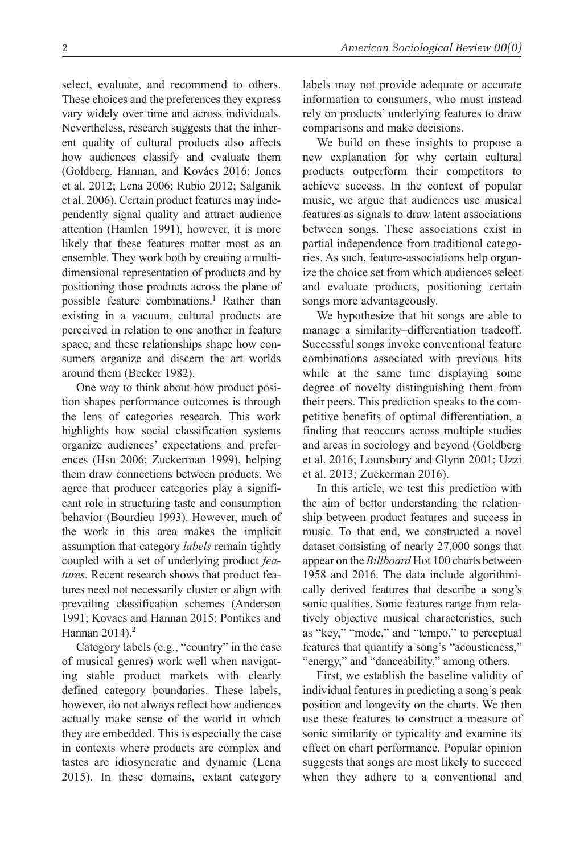select, evaluate, and recommend to others. These choices and the preferences they express vary widely over time and across individuals. Nevertheless, research suggests that the inherent quality of cultural products also affects how audiences classify and evaluate them (Goldberg, Hannan, and Kovács 2016; Jones et al. 2012; Lena 2006; Rubio 2012; Salganik et al. 2006). Certain product features may independently signal quality and attract audience attention (Hamlen 1991), however, it is more likely that these features matter most as an ensemble. They work both by creating a multidimensional representation of products and by positioning those products across the plane of possible feature combinations.<sup>1</sup> Rather than existing in a vacuum, cultural products are perceived in relation to one another in feature space, and these relationships shape how consumers organize and discern the art worlds around them (Becker 1982).

One way to think about how product position shapes performance outcomes is through the lens of categories research. This work highlights how social classification systems organize audiences' expectations and preferences (Hsu 2006; Zuckerman 1999), helping them draw connections between products. We agree that producer categories play a significant role in structuring taste and consumption behavior (Bourdieu 1993). However, much of the work in this area makes the implicit assumption that category *labels* remain tightly coupled with a set of underlying product *features*. Recent research shows that product features need not necessarily cluster or align with prevailing classification schemes (Anderson 1991; Kovacs and Hannan 2015; Pontikes and Hannan 2014).<sup>2</sup>

Category labels (e.g., "country" in the case of musical genres) work well when navigating stable product markets with clearly defined category boundaries. These labels, however, do not always reflect how audiences actually make sense of the world in which they are embedded. This is especially the case in contexts where products are complex and tastes are idiosyncratic and dynamic (Lena 2015). In these domains, extant category labels may not provide adequate or accurate information to consumers, who must instead rely on products' underlying features to draw comparisons and make decisions.

We build on these insights to propose a new explanation for why certain cultural products outperform their competitors to achieve success. In the context of popular music, we argue that audiences use musical features as signals to draw latent associations between songs. These associations exist in partial independence from traditional categories. As such, feature-associations help organize the choice set from which audiences select and evaluate products, positioning certain songs more advantageously.

We hypothesize that hit songs are able to manage a similarity–differentiation tradeoff. Successful songs invoke conventional feature combinations associated with previous hits while at the same time displaying some degree of novelty distinguishing them from their peers. This prediction speaks to the competitive benefits of optimal differentiation, a finding that reoccurs across multiple studies and areas in sociology and beyond (Goldberg et al. 2016; Lounsbury and Glynn 2001; Uzzi et al. 2013; Zuckerman 2016).

In this article, we test this prediction with the aim of better understanding the relationship between product features and success in music. To that end, we constructed a novel dataset consisting of nearly 27,000 songs that appear on the *Billboard* Hot 100 charts between 1958 and 2016. The data include algorithmically derived features that describe a song's sonic qualities. Sonic features range from relatively objective musical characteristics, such as "key," "mode," and "tempo," to perceptual features that quantify a song's "acousticness," "energy," and "danceability," among others.

First, we establish the baseline validity of individual features in predicting a song's peak position and longevity on the charts. We then use these features to construct a measure of sonic similarity or typicality and examine its effect on chart performance. Popular opinion suggests that songs are most likely to succeed when they adhere to a conventional and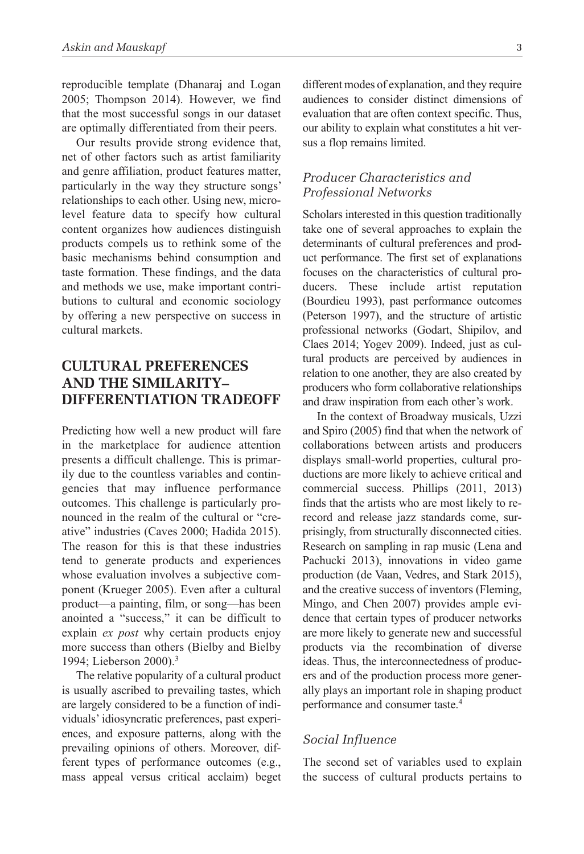reproducible template (Dhanaraj and Logan 2005; Thompson 2014). However, we find that the most successful songs in our dataset are optimally differentiated from their peers.

Our results provide strong evidence that, net of other factors such as artist familiarity and genre affiliation, product features matter, particularly in the way they structure songs' relationships to each other. Using new, microlevel feature data to specify how cultural content organizes how audiences distinguish products compels us to rethink some of the basic mechanisms behind consumption and taste formation. These findings, and the data and methods we use, make important contributions to cultural and economic sociology by offering a new perspective on success in cultural markets.

# **Cultural Preferences and The Similarity– Differentiation Tradeoff**

Predicting how well a new product will fare in the marketplace for audience attention presents a difficult challenge. This is primarily due to the countless variables and contingencies that may influence performance outcomes. This challenge is particularly pronounced in the realm of the cultural or "creative" industries (Caves 2000; Hadida 2015). The reason for this is that these industries tend to generate products and experiences whose evaluation involves a subjective component (Krueger 2005). Even after a cultural product—a painting, film, or song—has been anointed a "success," it can be difficult to explain *ex post* why certain products enjoy more success than others (Bielby and Bielby 1994; Lieberson 2000).3

The relative popularity of a cultural product is usually ascribed to prevailing tastes, which are largely considered to be a function of individuals' idiosyncratic preferences, past experiences, and exposure patterns, along with the prevailing opinions of others. Moreover, different types of performance outcomes (e.g., mass appeal versus critical acclaim) beget different modes of explanation, and they require audiences to consider distinct dimensions of evaluation that are often context specific. Thus, our ability to explain what constitutes a hit versus a flop remains limited.

# *Producer Characteristics and Professional Networks*

Scholars interested in this question traditionally take one of several approaches to explain the determinants of cultural preferences and product performance. The first set of explanations focuses on the characteristics of cultural producers. These include artist reputation (Bourdieu 1993), past performance outcomes (Peterson 1997), and the structure of artistic professional networks (Godart, Shipilov, and Claes 2014; Yogev 2009). Indeed, just as cultural products are perceived by audiences in relation to one another, they are also created by producers who form collaborative relationships and draw inspiration from each other's work.

In the context of Broadway musicals, Uzzi and Spiro (2005) find that when the network of collaborations between artists and producers displays small-world properties, cultural productions are more likely to achieve critical and commercial success. Phillips (2011, 2013) finds that the artists who are most likely to rerecord and release jazz standards come, surprisingly, from structurally disconnected cities. Research on sampling in rap music (Lena and Pachucki 2013), innovations in video game production (de Vaan, Vedres, and Stark 2015), and the creative success of inventors (Fleming, Mingo, and Chen 2007) provides ample evidence that certain types of producer networks are more likely to generate new and successful products via the recombination of diverse ideas. Thus, the interconnectedness of producers and of the production process more generally plays an important role in shaping product performance and consumer taste.4

#### *Social Influence*

The second set of variables used to explain the success of cultural products pertains to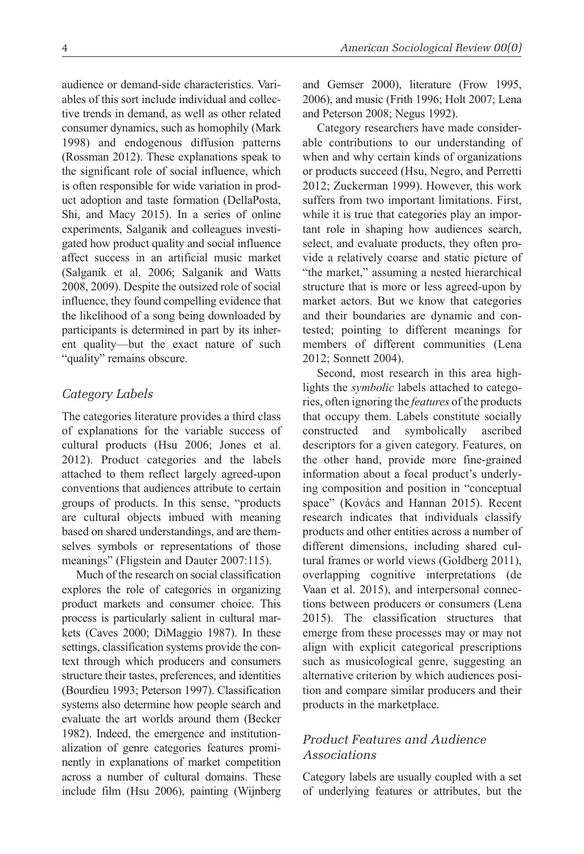audience or demand-side characteristics. Variables of this sort include individual and collective trends in demand, as well as other related consumer dynamics, such as homophily (Mark 1998) and endogenous diffusion patterns (Rossman 2012). These explanations speak to the significant role of social influence, which is often responsible for wide variation in product adoption and taste formation (DellaPosta, Shi, and Macy 2015). In a series of online experiments, Salganik and colleagues investigated how product quality and social influence affect success in an artificial music market (Salganik et al. 2006; Salganik and Watts 2008, 2009). Despite the outsized role of social influence, they found compelling evidence that the likelihood of a song being downloaded by participants is determined in part by its inherent quality—but the exact nature of such "quality" remains obscure.

## *Category Labels*

The categories literature provides a third class of explanations for the variable success of cultural products (Hsu 2006; Jones et al. 2012). Product categories and the labels attached to them reflect largely agreed-upon conventions that audiences attribute to certain groups of products. In this sense, "products are cultural objects imbued with meaning based on shared understandings, and are themselves symbols or representations of those meanings" (Fligstein and Dauter 2007:115).

Much of the research on social classification explores the role of categories in organizing product markets and consumer choice. This process is particularly salient in cultural markets (Caves 2000; DiMaggio 1987). In these settings, classification systems provide the context through which producers and consumers structure their tastes, preferences, and identities (Bourdieu 1993; Peterson 1997). Classification systems also determine how people search and evaluate the art worlds around them (Becker 1982). Indeed, the emergence and institutionalization of genre categories features prominently in explanations of market competition across a number of cultural domains. These include film (Hsu 2006), painting (Wijnberg

and Gemser 2000), literature (Frow 1995, 2006), and music (Frith 1996; Holt 2007; Lena and Peterson 2008; Negus 1992).

Category researchers have made considerable contributions to our understanding of when and why certain kinds of organizations or products succeed (Hsu, Negro, and Perretti 2012; Zuckerman 1999). However, this work suffers from two important limitations. First, while it is true that categories play an important role in shaping how audiences search, select, and evaluate products, they often provide a relatively coarse and static picture of "the market," assuming a nested hierarchical structure that is more or less agreed-upon by market actors. But we know that categories and their boundaries are dynamic and contested; pointing to different meanings for members of different communities (Lena 2012; Sonnett 2004).

Second, most research in this area highlights the *symbolic* labels attached to categories, often ignoring the *features* of the products that occupy them. Labels constitute socially constructed and symbolically ascribed descriptors for a given category. Features, on the other hand, provide more fine-grained information about a focal product's underlying composition and position in "conceptual space" (Kovács and Hannan 2015). Recent research indicates that individuals classify products and other entities across a number of different dimensions, including shared cultural frames or world views (Goldberg 2011), overlapping cognitive interpretations (de Vaan et al. 2015), and interpersonal connections between producers or consumers (Lena 2015). The classification structures that emerge from these processes may or may not align with explicit categorical prescriptions such as musicological genre, suggesting an alternative criterion by which audiences position and compare similar producers and their products in the marketplace.

# *Product Features and Audience Associations*

Category labels are usually coupled with a set of underlying features or attributes, but the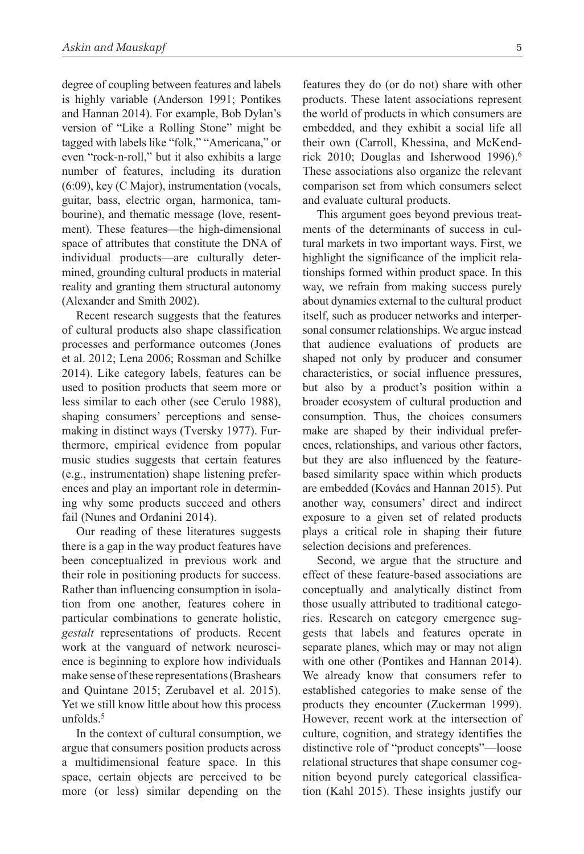degree of coupling between features and labels is highly variable (Anderson 1991; Pontikes and Hannan 2014). For example, Bob Dylan's version of "Like a Rolling Stone" might be tagged with labels like "folk," "Americana," or even "rock-n-roll," but it also exhibits a large number of features, including its duration (6:09), key (C Major), instrumentation (vocals, guitar, bass, electric organ, harmonica, tambourine), and thematic message (love, resentment). These features—the high-dimensional space of attributes that constitute the DNA of individual products—are culturally determined, grounding cultural products in material reality and granting them structural autonomy (Alexander and Smith 2002).

Recent research suggests that the features of cultural products also shape classification processes and performance outcomes (Jones et al. 2012; Lena 2006; Rossman and Schilke 2014). Like category labels, features can be used to position products that seem more or less similar to each other (see Cerulo 1988), shaping consumers' perceptions and sensemaking in distinct ways (Tversky 1977). Furthermore, empirical evidence from popular music studies suggests that certain features (e.g., instrumentation) shape listening preferences and play an important role in determining why some products succeed and others fail (Nunes and Ordanini 2014).

Our reading of these literatures suggests there is a gap in the way product features have been conceptualized in previous work and their role in positioning products for success. Rather than influencing consumption in isolation from one another, features cohere in particular combinations to generate holistic, *gestalt* representations of products. Recent work at the vanguard of network neuroscience is beginning to explore how individuals make sense of these representations (Brashears and Quintane 2015; Zerubavel et al. 2015). Yet we still know little about how this process unfolds. $5$ 

In the context of cultural consumption, we argue that consumers position products across a multidimensional feature space. In this space, certain objects are perceived to be more (or less) similar depending on the features they do (or do not) share with other products. These latent associations represent the world of products in which consumers are embedded, and they exhibit a social life all their own (Carroll, Khessina, and McKendrick 2010; Douglas and Isherwood 1996).<sup>6</sup> These associations also organize the relevant comparison set from which consumers select and evaluate cultural products.

This argument goes beyond previous treatments of the determinants of success in cultural markets in two important ways. First, we highlight the significance of the implicit relationships formed within product space. In this way, we refrain from making success purely about dynamics external to the cultural product itself, such as producer networks and interpersonal consumer relationships. We argue instead that audience evaluations of products are shaped not only by producer and consumer characteristics, or social influence pressures, but also by a product's position within a broader ecosystem of cultural production and consumption. Thus, the choices consumers make are shaped by their individual preferences, relationships, and various other factors, but they are also influenced by the featurebased similarity space within which products are embedded (Kovács and Hannan 2015). Put another way, consumers' direct and indirect exposure to a given set of related products plays a critical role in shaping their future selection decisions and preferences.

Second, we argue that the structure and effect of these feature-based associations are conceptually and analytically distinct from those usually attributed to traditional categories. Research on category emergence suggests that labels and features operate in separate planes, which may or may not align with one other (Pontikes and Hannan 2014). We already know that consumers refer to established categories to make sense of the products they encounter (Zuckerman 1999). However, recent work at the intersection of culture, cognition, and strategy identifies the distinctive role of "product concepts"—loose relational structures that shape consumer cognition beyond purely categorical classification (Kahl 2015). These insights justify our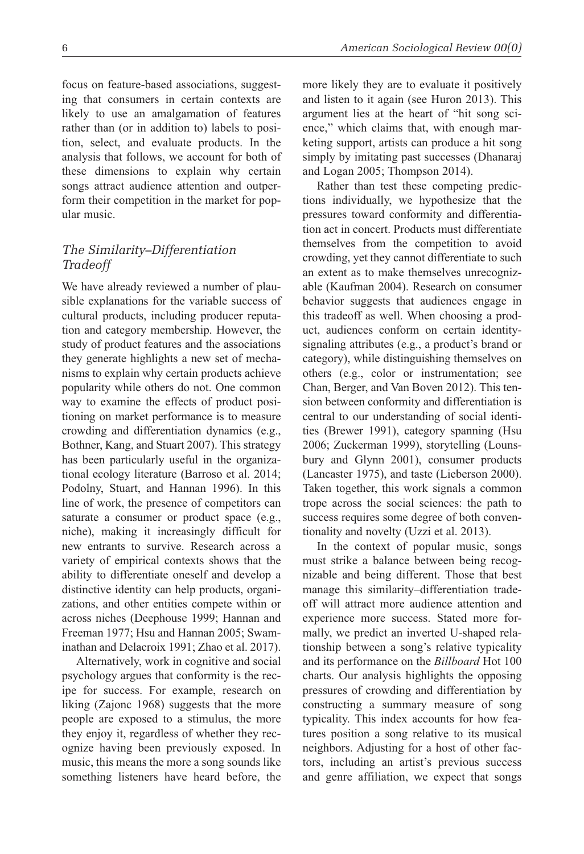focus on feature-based associations, suggesting that consumers in certain contexts are likely to use an amalgamation of features rather than (or in addition to) labels to position, select, and evaluate products. In the analysis that follows, we account for both of these dimensions to explain why certain songs attract audience attention and outperform their competition in the market for popular music.

# *The Similarity–Differentiation Tradeoff*

We have already reviewed a number of plausible explanations for the variable success of cultural products, including producer reputation and category membership. However, the study of product features and the associations they generate highlights a new set of mechanisms to explain why certain products achieve popularity while others do not. One common way to examine the effects of product positioning on market performance is to measure crowding and differentiation dynamics (e.g., Bothner, Kang, and Stuart 2007). This strategy has been particularly useful in the organizational ecology literature (Barroso et al. 2014; Podolny, Stuart, and Hannan 1996). In this line of work, the presence of competitors can saturate a consumer or product space (e.g., niche), making it increasingly difficult for new entrants to survive. Research across a variety of empirical contexts shows that the ability to differentiate oneself and develop a distinctive identity can help products, organizations, and other entities compete within or across niches (Deephouse 1999; Hannan and Freeman 1977; Hsu and Hannan 2005; Swaminathan and Delacroix 1991; Zhao et al. 2017).

Alternatively, work in cognitive and social psychology argues that conformity is the recipe for success. For example, research on liking (Zajonc 1968) suggests that the more people are exposed to a stimulus, the more they enjoy it, regardless of whether they recognize having been previously exposed. In music, this means the more a song sounds like something listeners have heard before, the more likely they are to evaluate it positively and listen to it again (see Huron 2013). This argument lies at the heart of "hit song science," which claims that, with enough marketing support, artists can produce a hit song simply by imitating past successes (Dhanaraj and Logan 2005; Thompson 2014).

Rather than test these competing predictions individually, we hypothesize that the pressures toward conformity and differentiation act in concert. Products must differentiate themselves from the competition to avoid crowding, yet they cannot differentiate to such an extent as to make themselves unrecognizable (Kaufman 2004). Research on consumer behavior suggests that audiences engage in this tradeoff as well. When choosing a product, audiences conform on certain identitysignaling attributes (e.g., a product's brand or category), while distinguishing themselves on others (e.g., color or instrumentation; see Chan, Berger, and Van Boven 2012). This tension between conformity and differentiation is central to our understanding of social identities (Brewer 1991), category spanning (Hsu 2006; Zuckerman 1999), storytelling (Lounsbury and Glynn 2001), consumer products (Lancaster 1975), and taste (Lieberson 2000). Taken together, this work signals a common trope across the social sciences: the path to success requires some degree of both conventionality and novelty (Uzzi et al. 2013).

In the context of popular music, songs must strike a balance between being recognizable and being different. Those that best manage this similarity–differentiation tradeoff will attract more audience attention and experience more success. Stated more formally, we predict an inverted U-shaped relationship between a song's relative typicality and its performance on the *Billboard* Hot 100 charts. Our analysis highlights the opposing pressures of crowding and differentiation by constructing a summary measure of song typicality. This index accounts for how features position a song relative to its musical neighbors. Adjusting for a host of other factors, including an artist's previous success and genre affiliation, we expect that songs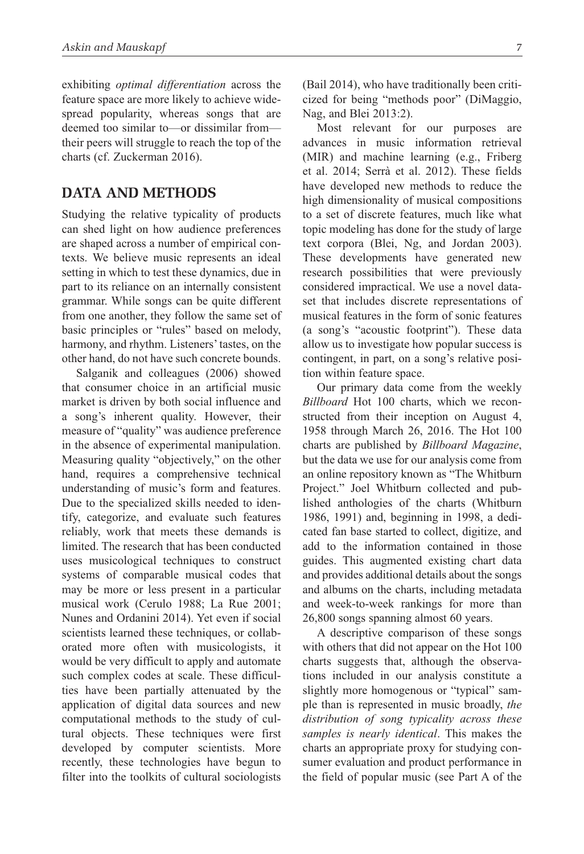exhibiting *optimal differentiation* across the feature space are more likely to achieve widespread popularity, whereas songs that are deemed too similar to—or dissimilar from their peers will struggle to reach the top of the charts (cf. Zuckerman 2016).

# **Data and Methods**

Studying the relative typicality of products can shed light on how audience preferences are shaped across a number of empirical contexts. We believe music represents an ideal setting in which to test these dynamics, due in part to its reliance on an internally consistent grammar. While songs can be quite different from one another, they follow the same set of basic principles or "rules" based on melody, harmony, and rhythm. Listeners' tastes, on the other hand, do not have such concrete bounds.

Salganik and colleagues (2006) showed that consumer choice in an artificial music market is driven by both social influence and a song's inherent quality. However, their measure of "quality" was audience preference in the absence of experimental manipulation. Measuring quality "objectively," on the other hand, requires a comprehensive technical understanding of music's form and features. Due to the specialized skills needed to identify, categorize, and evaluate such features reliably, work that meets these demands is limited. The research that has been conducted uses musicological techniques to construct systems of comparable musical codes that may be more or less present in a particular musical work (Cerulo 1988; La Rue 2001; Nunes and Ordanini 2014). Yet even if social scientists learned these techniques, or collaborated more often with musicologists, it would be very difficult to apply and automate such complex codes at scale. These difficulties have been partially attenuated by the application of digital data sources and new computational methods to the study of cultural objects. These techniques were first developed by computer scientists. More recently, these technologies have begun to filter into the toolkits of cultural sociologists (Bail 2014), who have traditionally been criticized for being "methods poor" (DiMaggio, Nag, and Blei 2013:2).

Most relevant for our purposes are advances in music information retrieval (MIR) and machine learning (e.g., Friberg et al. 2014; Serrà et al. 2012). These fields have developed new methods to reduce the high dimensionality of musical compositions to a set of discrete features, much like what topic modeling has done for the study of large text corpora (Blei, Ng, and Jordan 2003). These developments have generated new research possibilities that were previously considered impractical. We use a novel dataset that includes discrete representations of musical features in the form of sonic features (a song's "acoustic footprint"). These data allow us to investigate how popular success is contingent, in part, on a song's relative position within feature space.

Our primary data come from the weekly *Billboard* Hot 100 charts, which we reconstructed from their inception on August 4, 1958 through March 26, 2016. The Hot 100 charts are published by *Billboard Magazine*, but the data we use for our analysis come from an online repository known as "The Whitburn Project." Joel Whitburn collected and published anthologies of the charts (Whitburn 1986, 1991) and, beginning in 1998, a dedicated fan base started to collect, digitize, and add to the information contained in those guides. This augmented existing chart data and provides additional details about the songs and albums on the charts, including metadata and week-to-week rankings for more than 26,800 songs spanning almost 60 years.

A descriptive comparison of these songs with others that did not appear on the Hot 100 charts suggests that, although the observations included in our analysis constitute a slightly more homogenous or "typical" sample than is represented in music broadly, *the distribution of song typicality across these samples is nearly identical*. This makes the charts an appropriate proxy for studying consumer evaluation and product performance in the field of popular music (see Part A of the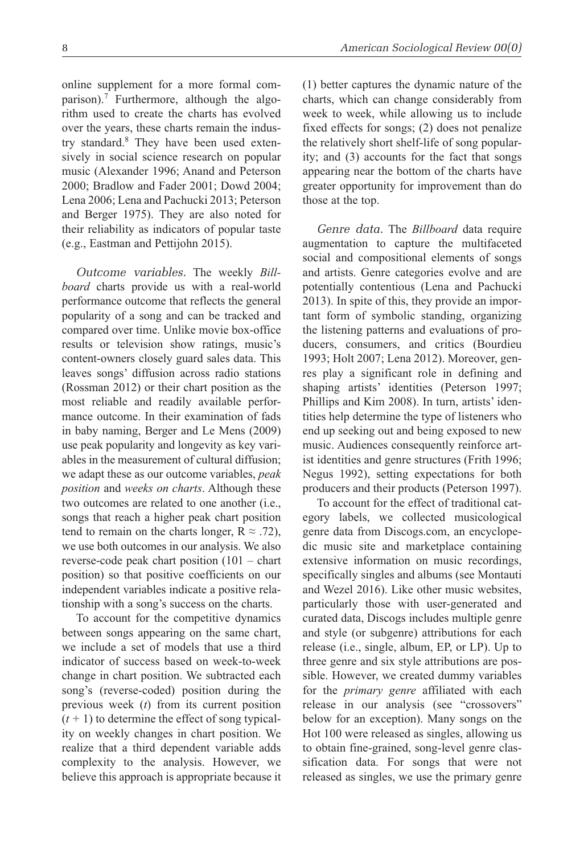online supplement for a more formal comparison).<sup>7</sup> Furthermore, although the algorithm used to create the charts has evolved over the years, these charts remain the industry standard.<sup>8</sup> They have been used extensively in social science research on popular music (Alexander 1996; Anand and Peterson 2000; Bradlow and Fader 2001; Dowd 2004; Lena 2006; Lena and Pachucki 2013; Peterson and Berger 1975). They are also noted for their reliability as indicators of popular taste (e.g., Eastman and Pettijohn 2015).

*Outcome variables.* The weekly *Billboard* charts provide us with a real-world performance outcome that reflects the general popularity of a song and can be tracked and compared over time. Unlike movie box-office results or television show ratings, music's content-owners closely guard sales data. This leaves songs' diffusion across radio stations (Rossman 2012) or their chart position as the most reliable and readily available performance outcome. In their examination of fads in baby naming, Berger and Le Mens (2009) use peak popularity and longevity as key variables in the measurement of cultural diffusion; we adapt these as our outcome variables, *peak position* and *weeks on charts*. Although these two outcomes are related to one another (i.e., songs that reach a higher peak chart position tend to remain on the charts longer,  $R \approx .72$ ), we use both outcomes in our analysis. We also reverse-code peak chart position (101 – chart position) so that positive coefficients on our independent variables indicate a positive relationship with a song's success on the charts.

To account for the competitive dynamics between songs appearing on the same chart, we include a set of models that use a third indicator of success based on week-to-week change in chart position. We subtracted each song's (reverse-coded) position during the previous week (*t*) from its current position  $(t + 1)$  to determine the effect of song typicality on weekly changes in chart position. We realize that a third dependent variable adds complexity to the analysis. However, we believe this approach is appropriate because it (1) better captures the dynamic nature of the charts, which can change considerably from week to week, while allowing us to include fixed effects for songs; (2) does not penalize the relatively short shelf-life of song popularity; and (3) accounts for the fact that songs appearing near the bottom of the charts have greater opportunity for improvement than do those at the top.

*Genre data.* The *Billboard* data require augmentation to capture the multifaceted social and compositional elements of songs and artists. Genre categories evolve and are potentially contentious (Lena and Pachucki 2013). In spite of this, they provide an important form of symbolic standing, organizing the listening patterns and evaluations of producers, consumers, and critics (Bourdieu 1993; Holt 2007; Lena 2012). Moreover, genres play a significant role in defining and shaping artists' identities (Peterson 1997; Phillips and Kim 2008). In turn, artists' identities help determine the type of listeners who end up seeking out and being exposed to new music. Audiences consequently reinforce artist identities and genre structures (Frith 1996; Negus 1992), setting expectations for both producers and their products (Peterson 1997).

To account for the effect of traditional category labels, we collected musicological genre data from Discogs.com, an encyclopedic music site and marketplace containing extensive information on music recordings, specifically singles and albums (see Montauti and Wezel 2016). Like other music websites, particularly those with user-generated and curated data, Discogs includes multiple genre and style (or subgenre) attributions for each release (i.e., single, album, EP, or LP). Up to three genre and six style attributions are possible. However, we created dummy variables for the *primary genre* affiliated with each release in our analysis (see "crossovers" below for an exception). Many songs on the Hot 100 were released as singles, allowing us to obtain fine-grained, song-level genre classification data. For songs that were not released as singles, we use the primary genre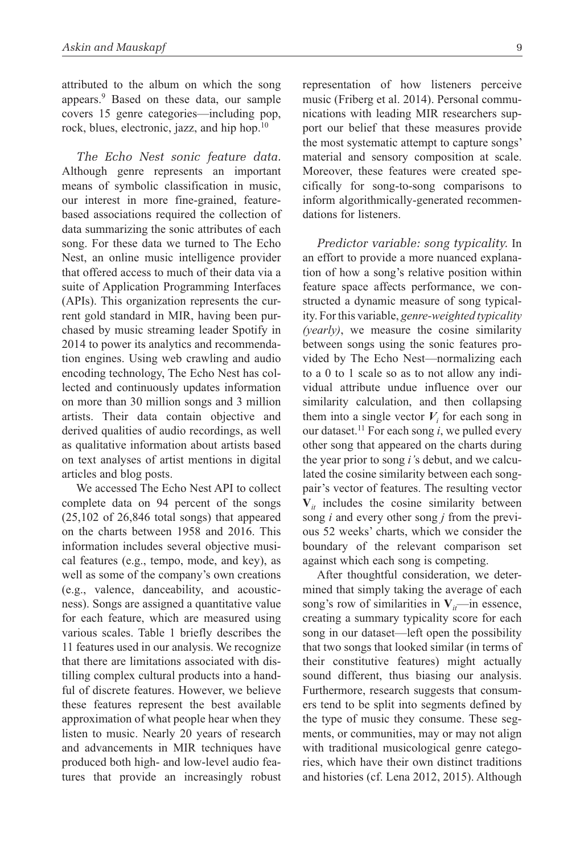attributed to the album on which the song appears.<sup>9</sup> Based on these data, our sample covers 15 genre categories—including pop, rock, blues, electronic, jazz, and hip hop.10

*The Echo Nest sonic feature data.* Although genre represents an important means of symbolic classification in music, our interest in more fine-grained, featurebased associations required the collection of data summarizing the sonic attributes of each song. For these data we turned to The Echo Nest, an online music intelligence provider that offered access to much of their data via a suite of Application Programming Interfaces (APIs). This organization represents the current gold standard in MIR, having been purchased by music streaming leader Spotify in 2014 to power its analytics and recommendation engines. Using web crawling and audio encoding technology, The Echo Nest has collected and continuously updates information on more than 30 million songs and 3 million artists. Their data contain objective and derived qualities of audio recordings, as well as qualitative information about artists based on text analyses of artist mentions in digital articles and blog posts.

We accessed The Echo Nest API to collect complete data on 94 percent of the songs (25,102 of 26,846 total songs) that appeared on the charts between 1958 and 2016. This information includes several objective musical features (e.g., tempo, mode, and key), as well as some of the company's own creations (e.g., valence, danceability, and acousticness). Songs are assigned a quantitative value for each feature, which are measured using various scales. Table 1 briefly describes the 11 features used in our analysis. We recognize that there are limitations associated with distilling complex cultural products into a handful of discrete features. However, we believe these features represent the best available approximation of what people hear when they listen to music. Nearly 20 years of research and advancements in MIR techniques have produced both high- and low-level audio features that provide an increasingly robust representation of how listeners perceive music (Friberg et al. 2014). Personal communications with leading MIR researchers support our belief that these measures provide the most systematic attempt to capture songs' material and sensory composition at scale. Moreover, these features were created specifically for song-to-song comparisons to inform algorithmically-generated recommendations for listeners.

*Predictor variable: song typicality.* In an effort to provide a more nuanced explanation of how a song's relative position within feature space affects performance, we constructed a dynamic measure of song typicality. For this variable, *genre-weighted typicality (yearly)*, we measure the cosine similarity between songs using the sonic features provided by The Echo Nest—normalizing each to a 0 to 1 scale so as to not allow any individual attribute undue influence over our similarity calculation, and then collapsing them into a single vector  $V_i$  for each song in our dataset.<sup>11</sup> For each song  $i$ , we pulled every other song that appeared on the charts during the year prior to song *i'*s debut, and we calculated the cosine similarity between each songpair's vector of features. The resulting vector  $V_{it}$  includes the cosine similarity between song *i* and every other song *j* from the previous 52 weeks' charts, which we consider the boundary of the relevant comparison set against which each song is competing.

After thoughtful consideration, we determined that simply taking the average of each song's row of similarities in  $V_i$ —in essence, creating a summary typicality score for each song in our dataset—left open the possibility that two songs that looked similar (in terms of their constitutive features) might actually sound different, thus biasing our analysis. Furthermore, research suggests that consumers tend to be split into segments defined by the type of music they consume. These segments, or communities, may or may not align with traditional musicological genre categories, which have their own distinct traditions and histories (cf. Lena 2012, 2015). Although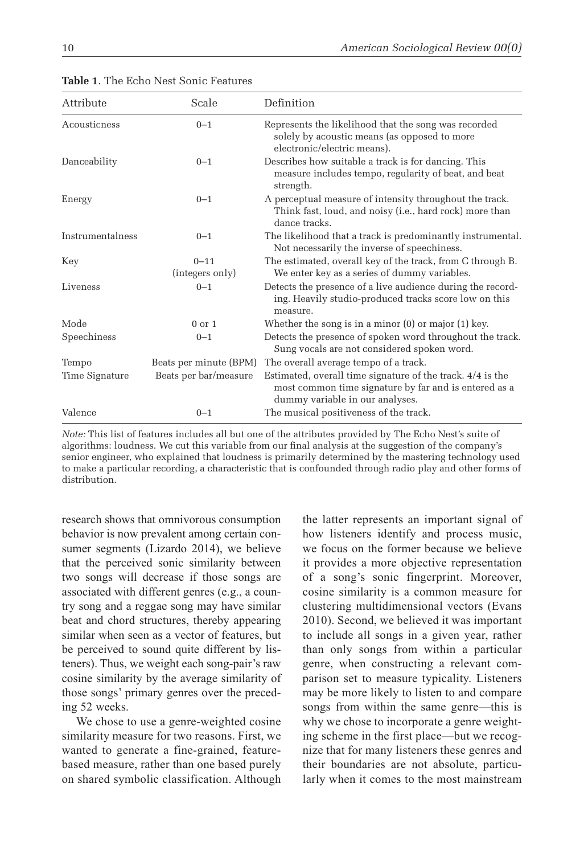| Attribute        | Scale                       | Definition                                                                                                                                             |
|------------------|-----------------------------|--------------------------------------------------------------------------------------------------------------------------------------------------------|
| Acousticness     | $0 - 1$                     | Represents the likelihood that the song was recorded<br>solely by acoustic means (as opposed to more<br>electronic/electric means).                    |
| Danceability     | $0 - 1$                     | Describes how suitable a track is for dancing. This<br>measure includes tempo, regularity of beat, and beat<br>strength.                               |
| Energy           | $0 - 1$                     | A perceptual measure of intensity throughout the track.<br>Think fast, loud, and noisy (i.e., hard rock) more than<br>dance tracks.                    |
| Instrumentalness | $0 - 1$                     | The likelihood that a track is predominantly instrumental.<br>Not necessarily the inverse of speechiness.                                              |
| Key              | $0 - 11$<br>(integers only) | The estimated, overall key of the track, from C through B.<br>We enter key as a series of dummy variables.                                             |
| Liveness         | $0 - 1$                     | Detects the presence of a live audience during the record-<br>ing. Heavily studio-produced tracks score low on this<br>measure.                        |
| Mode             | $0$ or $1$                  | Whether the song is in a minor $(0)$ or major $(1)$ key.                                                                                               |
| Speechiness      | $0 - 1$                     | Detects the presence of spoken word throughout the track.<br>Sung vocals are not considered spoken word.                                               |
| Tempo            | Beats per minute (BPM)      | The overall average tempo of a track.                                                                                                                  |
| Time Signature   | Beats per bar/measure       | Estimated, overall time signature of the track. 4/4 is the<br>most common time signature by far and is entered as a<br>dummy variable in our analyses. |
| Valence          | $0 - 1$                     | The musical positiveness of the track.                                                                                                                 |

**Table 1**. The Echo Nest Sonic Features

*Note:* This list of features includes all but one of the attributes provided by The Echo Nest's suite of algorithms: loudness. We cut this variable from our final analysis at the suggestion of the company's senior engineer, who explained that loudness is primarily determined by the mastering technology used to make a particular recording, a characteristic that is confounded through radio play and other forms of distribution.

research shows that omnivorous consumption behavior is now prevalent among certain consumer segments (Lizardo 2014), we believe that the perceived sonic similarity between two songs will decrease if those songs are associated with different genres (e.g., a country song and a reggae song may have similar beat and chord structures, thereby appearing similar when seen as a vector of features, but be perceived to sound quite different by listeners). Thus, we weight each song-pair's raw cosine similarity by the average similarity of those songs' primary genres over the preceding 52 weeks.

We chose to use a genre-weighted cosine similarity measure for two reasons. First, we wanted to generate a fine-grained, featurebased measure, rather than one based purely on shared symbolic classification. Although the latter represents an important signal of how listeners identify and process music, we focus on the former because we believe it provides a more objective representation of a song's sonic fingerprint. Moreover, cosine similarity is a common measure for clustering multidimensional vectors (Evans 2010). Second, we believed it was important to include all songs in a given year, rather than only songs from within a particular genre, when constructing a relevant comparison set to measure typicality. Listeners may be more likely to listen to and compare songs from within the same genre—this is why we chose to incorporate a genre weighting scheme in the first place—but we recognize that for many listeners these genres and their boundaries are not absolute, particularly when it comes to the most mainstream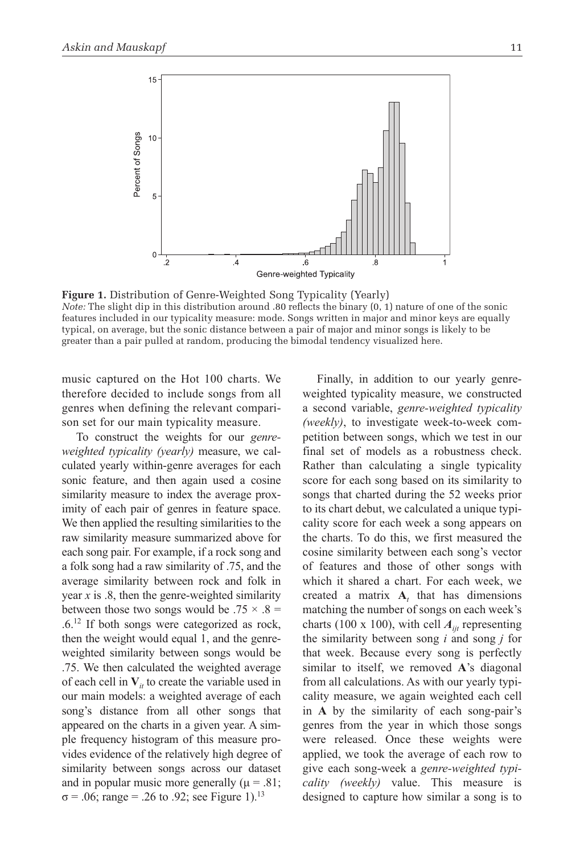

**Figure 1.** Distribution of Genre-Weighted Song Typicality (Yearly) *Note:* The slight dip in this distribution around .80 reflects the binary (0, 1) nature of one of the sonic features included in our typicality measure: mode. Songs written in major and minor keys are equally typical, on average, but the sonic distance between a pair of major and minor songs is likely to be greater than a pair pulled at random, producing the bimodal tendency visualized here.

music captured on the Hot 100 charts. We therefore decided to include songs from all genres when defining the relevant comparison set for our main typicality measure.

To construct the weights for our *genreweighted typicality (yearly)* measure, we calculated yearly within-genre averages for each sonic feature, and then again used a cosine similarity measure to index the average proximity of each pair of genres in feature space. We then applied the resulting similarities to the raw similarity measure summarized above for each song pair. For example, if a rock song and a folk song had a raw similarity of .75, and the average similarity between rock and folk in year *x* is .8, then the genre-weighted similarity between those two songs would be .75  $\times$  .8 = .6.12 If both songs were categorized as rock, then the weight would equal 1, and the genreweighted similarity between songs would be .75. We then calculated the weighted average of each cell in  $V_i$  to create the variable used in our main models: a weighted average of each song's distance from all other songs that appeared on the charts in a given year. A simple frequency histogram of this measure provides evidence of the relatively high degree of similarity between songs across our dataset and in popular music more generally ( $\mu = .81$ ;  $σ = .06$ ; range = .26 to .92; see Figure 1).<sup>13</sup>

Finally, in addition to our yearly genreweighted typicality measure, we constructed a second variable, *genre-weighted typicality (weekly)*, to investigate week-to-week competition between songs, which we test in our final set of models as a robustness check. Rather than calculating a single typicality score for each song based on its similarity to songs that charted during the 52 weeks prior to its chart debut, we calculated a unique typicality score for each week a song appears on the charts. To do this, we first measured the cosine similarity between each song's vector of features and those of other songs with which it shared a chart. For each week, we created a matrix  $A_t$  that has dimensions matching the number of songs on each week's charts (100 x 100), with cell  $A_{ii}$  representing the similarity between song *i* and song *j* for that week. Because every song is perfectly similar to itself, we removed **A**'s diagonal from all calculations. As with our yearly typicality measure, we again weighted each cell in **A** by the similarity of each song-pair's genres from the year in which those songs were released. Once these weights were applied, we took the average of each row to give each song-week a *genre-weighted typicality (weekly)* value. This measure is designed to capture how similar a song is to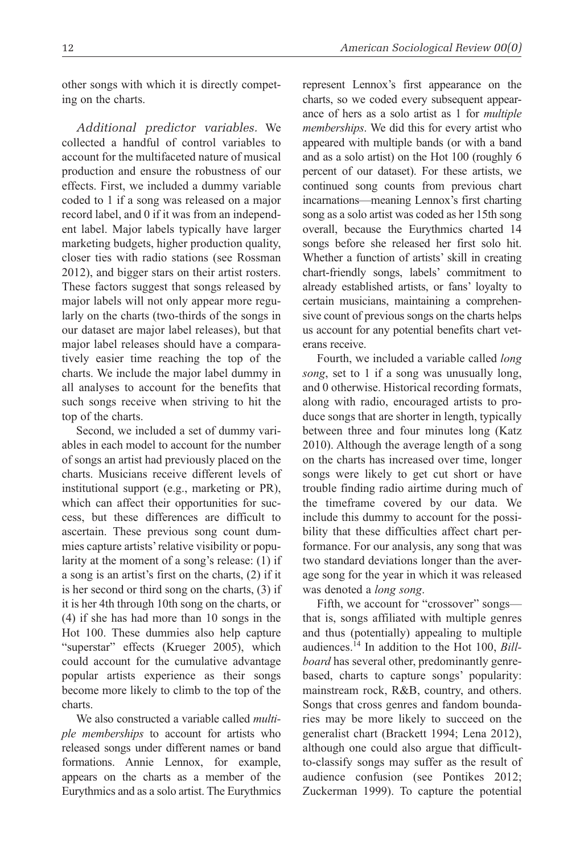other songs with which it is directly competing on the charts.

*Additional predictor variables.* We collected a handful of control variables to account for the multifaceted nature of musical production and ensure the robustness of our effects. First, we included a dummy variable coded to 1 if a song was released on a major record label, and 0 if it was from an independent label. Major labels typically have larger marketing budgets, higher production quality, closer ties with radio stations (see Rossman 2012), and bigger stars on their artist rosters. These factors suggest that songs released by major labels will not only appear more regularly on the charts (two-thirds of the songs in our dataset are major label releases), but that major label releases should have a comparatively easier time reaching the top of the charts. We include the major label dummy in all analyses to account for the benefits that such songs receive when striving to hit the top of the charts.

Second, we included a set of dummy variables in each model to account for the number of songs an artist had previously placed on the charts. Musicians receive different levels of institutional support (e.g., marketing or PR), which can affect their opportunities for success, but these differences are difficult to ascertain. These previous song count dummies capture artists' relative visibility or popularity at the moment of a song's release: (1) if a song is an artist's first on the charts, (2) if it is her second or third song on the charts, (3) if it is her 4th through 10th song on the charts, or (4) if she has had more than 10 songs in the Hot 100. These dummies also help capture "superstar" effects (Krueger 2005), which could account for the cumulative advantage popular artists experience as their songs become more likely to climb to the top of the charts.

We also constructed a variable called *multiple memberships* to account for artists who released songs under different names or band formations. Annie Lennox, for example, appears on the charts as a member of the Eurythmics and as a solo artist. The Eurythmics represent Lennox's first appearance on the charts, so we coded every subsequent appearance of hers as a solo artist as 1 for *multiple memberships*. We did this for every artist who appeared with multiple bands (or with a band and as a solo artist) on the Hot 100 (roughly 6 percent of our dataset). For these artists, we continued song counts from previous chart incarnations—meaning Lennox's first charting song as a solo artist was coded as her 15th song overall, because the Eurythmics charted 14 songs before she released her first solo hit. Whether a function of artists' skill in creating chart-friendly songs, labels' commitment to already established artists, or fans' loyalty to certain musicians, maintaining a comprehensive count of previous songs on the charts helps us account for any potential benefits chart veterans receive.

Fourth, we included a variable called *long song*, set to 1 if a song was unusually long, and 0 otherwise. Historical recording formats, along with radio, encouraged artists to produce songs that are shorter in length, typically between three and four minutes long (Katz 2010). Although the average length of a song on the charts has increased over time, longer songs were likely to get cut short or have trouble finding radio airtime during much of the timeframe covered by our data. We include this dummy to account for the possibility that these difficulties affect chart performance. For our analysis, any song that was two standard deviations longer than the average song for the year in which it was released was denoted a *long song*.

Fifth, we account for "crossover" songs that is, songs affiliated with multiple genres and thus (potentially) appealing to multiple audiences.14 In addition to the Hot 100, *Billboard* has several other, predominantly genrebased, charts to capture songs' popularity: mainstream rock, R&B, country, and others. Songs that cross genres and fandom boundaries may be more likely to succeed on the generalist chart (Brackett 1994; Lena 2012), although one could also argue that difficultto-classify songs may suffer as the result of audience confusion (see Pontikes 2012; Zuckerman 1999). To capture the potential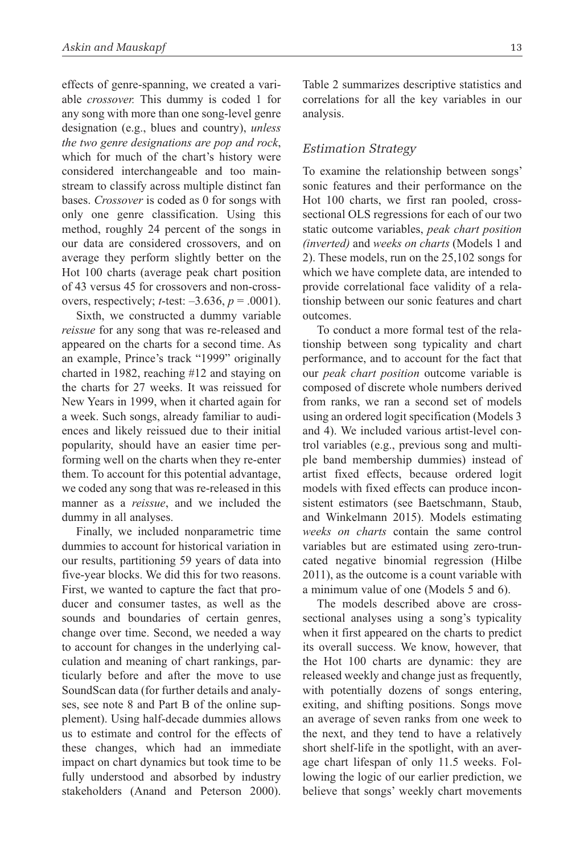effects of genre-spanning, we created a variable *crossover.* This dummy is coded 1 for any song with more than one song-level genre designation (e.g., blues and country), *unless the two genre designations are pop and rock*, which for much of the chart's history were considered interchangeable and too mainstream to classify across multiple distinct fan bases. *Crossover* is coded as 0 for songs with only one genre classification. Using this method, roughly 24 percent of the songs in our data are considered crossovers, and on average they perform slightly better on the Hot 100 charts (average peak chart position of 43 versus 45 for crossovers and non-crossovers, respectively; *t*-test: –3.636, *p* = .0001).

Sixth, we constructed a dummy variable *reissue* for any song that was re-released and appeared on the charts for a second time. As an example, Prince's track "1999" originally charted in 1982, reaching #12 and staying on the charts for 27 weeks. It was reissued for New Years in 1999, when it charted again for a week. Such songs, already familiar to audiences and likely reissued due to their initial popularity, should have an easier time performing well on the charts when they re-enter them. To account for this potential advantage, we coded any song that was re-released in this manner as a *reissue*, and we included the dummy in all analyses.

Finally, we included nonparametric time dummies to account for historical variation in our results, partitioning 59 years of data into five-year blocks. We did this for two reasons. First, we wanted to capture the fact that producer and consumer tastes, as well as the sounds and boundaries of certain genres, change over time. Second, we needed a way to account for changes in the underlying calculation and meaning of chart rankings, particularly before and after the move to use SoundScan data (for further details and analyses, see note 8 and Part B of the online supplement). Using half-decade dummies allows us to estimate and control for the effects of these changes, which had an immediate impact on chart dynamics but took time to be fully understood and absorbed by industry stakeholders (Anand and Peterson 2000). Table 2 summarizes descriptive statistics and correlations for all the key variables in our analysis.

#### *Estimation Strategy*

To examine the relationship between songs' sonic features and their performance on the Hot 100 charts, we first ran pooled, crosssectional OLS regressions for each of our two static outcome variables, *peak chart position (inverted)* and *weeks on charts* (Models 1 and 2). These models, run on the 25,102 songs for which we have complete data, are intended to provide correlational face validity of a relationship between our sonic features and chart outcomes.

To conduct a more formal test of the relationship between song typicality and chart performance, and to account for the fact that our *peak chart position* outcome variable is composed of discrete whole numbers derived from ranks, we ran a second set of models using an ordered logit specification (Models 3 and 4). We included various artist-level control variables (e.g., previous song and multiple band membership dummies) instead of artist fixed effects, because ordered logit models with fixed effects can produce inconsistent estimators (see Baetschmann, Staub, and Winkelmann 2015). Models estimating *weeks on charts* contain the same control variables but are estimated using zero-truncated negative binomial regression (Hilbe 2011), as the outcome is a count variable with a minimum value of one (Models 5 and 6).

The models described above are crosssectional analyses using a song's typicality when it first appeared on the charts to predict its overall success. We know, however, that the Hot 100 charts are dynamic: they are released weekly and change just as frequently, with potentially dozens of songs entering, exiting, and shifting positions. Songs move an average of seven ranks from one week to the next, and they tend to have a relatively short shelf-life in the spotlight, with an average chart lifespan of only 11.5 weeks. Following the logic of our earlier prediction, we believe that songs' weekly chart movements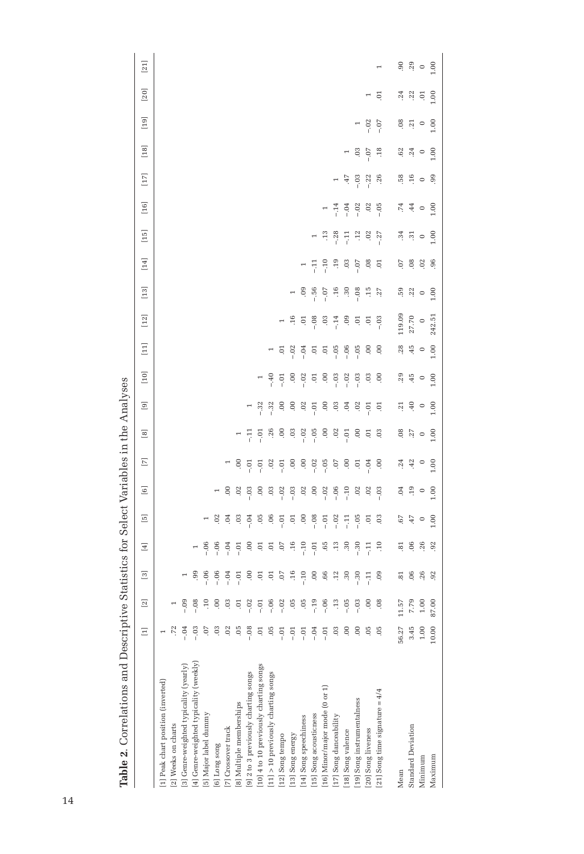|                                                  |         | <br> -<br> -   |                                           |                                |                |                |                          |                                                                                                                                                  |                |                          |         |                |                          |                |                                                                                                   |                                                                                                             |                                                                       |                                      |                                                                       |                                               |                                                                                                            |
|--------------------------------------------------|---------|----------------|-------------------------------------------|--------------------------------|----------------|----------------|--------------------------|--------------------------------------------------------------------------------------------------------------------------------------------------|----------------|--------------------------|---------|----------------|--------------------------|----------------|---------------------------------------------------------------------------------------------------|-------------------------------------------------------------------------------------------------------------|-----------------------------------------------------------------------|--------------------------------------|-----------------------------------------------------------------------|-----------------------------------------------|------------------------------------------------------------------------------------------------------------|
|                                                  | $\Xi$   | $[2]$          | $\boxed{3}$                               | Ξ                              | 叵              | $\Xi$          | $\boxed{\triangleright}$ | $\boxed{8}$                                                                                                                                      | $\boxed{9}$    | $[10]$                   | $\Xi$   | $[12]$         | $[13]$                   | $[14]$         | $[15]$                                                                                            | $[16]$                                                                                                      | $[17] \label{eq:17}$                                                  | $[18]$                               | $[19]$                                                                | $[20]$                                        | $[21]$                                                                                                     |
| [1] Peak chart position (inverted)               |         |                |                                           |                                |                |                |                          |                                                                                                                                                  |                |                          |         |                |                          |                |                                                                                                   |                                                                                                             |                                                                       |                                      |                                                                       |                                               |                                                                                                            |
| 2] Weeks on charts                               |         |                |                                           |                                |                |                |                          |                                                                                                                                                  |                |                          |         |                |                          |                |                                                                                                   |                                                                                                             |                                                                       |                                      |                                                                       |                                               |                                                                                                            |
| 3] Genre-weighted typicality (yearly)            |         | ون –<br>-      |                                           |                                |                |                |                          |                                                                                                                                                  |                |                          |         |                |                          |                |                                                                                                   |                                                                                                             |                                                                       |                                      |                                                                       |                                               |                                                                                                            |
| [4] Genre-weighted typicality (weekly)           | $-0.3$  | $-0.08$        | .99                                       | $\overline{\phantom{0}}$       |                |                |                          |                                                                                                                                                  |                |                          |         |                |                          |                |                                                                                                   |                                                                                                             |                                                                       |                                      |                                                                       |                                               |                                                                                                            |
| [5] Major label dummy                            |         |                | $-0.06$                                   | $-0.6$                         | $\overline{ }$ |                |                          |                                                                                                                                                  |                |                          |         |                |                          |                |                                                                                                   |                                                                                                             |                                                                       |                                      |                                                                       |                                               |                                                                                                            |
| [6] Long song                                    |         |                | $-0.06$                                   | $-0.06$                        | S.             | $\overline{a}$ |                          |                                                                                                                                                  |                |                          |         |                |                          |                |                                                                                                   |                                                                                                             |                                                                       |                                      |                                                                       |                                               |                                                                                                            |
| [7] Crossover track                              | 02      | $\ddot{\circ}$ | $-0.4$                                    | $-0.4$                         | Ğ.             | S.             | $\overline{a}$           |                                                                                                                                                  |                |                          |         |                |                          |                |                                                                                                   |                                                                                                             |                                                                       |                                      |                                                                       |                                               |                                                                                                            |
| 8] Multiple memberships                          |         | ą              | $-0.01$                                   | $-0.1$                         | 03             | 02             | Θ.                       | $\overline{\phantom{a}}$                                                                                                                         |                |                          |         |                |                          |                |                                                                                                   |                                                                                                             |                                                                       |                                      |                                                                       |                                               |                                                                                                            |
| 9] 2 to 3 previously charting songs              | $-0.08$ | $-0.2$         | $\ddot{\rm o}$                            | G.                             | $-0.04$        | $-0.3$         | $-0.01$                  | $\frac{1}{2}$                                                                                                                                    |                |                          |         |                |                          |                |                                                                                                   |                                                                                                             |                                                                       |                                      |                                                                       |                                               |                                                                                                            |
| 10 4 to 10 previously charting songs             | ē       | $-0.1$         | ē.                                        | $\frac{5}{2}$ or $\frac{1}{2}$ | 05             | $\ddot{\circ}$ | $-0.7$                   | $-0.7$                                                                                                                                           | $-32$          | $\overline{\phantom{0}}$ |         |                |                          |                |                                                                                                   |                                                                                                             |                                                                       |                                      |                                                                       |                                               |                                                                                                            |
| $\left[11\right]$ > 10 previously charting songs |         | $-0.06$        |                                           |                                | $-0.05$        | $\ddot{\circ}$ | $-0.01$                  | .26                                                                                                                                              | $-32$          | $-40$                    |         |                |                          |                |                                                                                                   |                                                                                                             |                                                                       |                                      |                                                                       |                                               |                                                                                                            |
| $\left[ 12\right]$ Song tempo                    | Ξi      | $-0.02$        | $5.5 \div 5$                              |                                |                | $-.02$         |                          | S.                                                                                                                                               | S.             | $-0.01$                  | 5.      | $\overline{a}$ |                          |                |                                                                                                   |                                                                                                             |                                                                       |                                      |                                                                       |                                               |                                                                                                            |
| [13] Song energy                                 | Ξ<br>i  | 05             |                                           | .16                            | $\Xi$          | $-0.03$        | O.                       | $\ddot{0}$                                                                                                                                       | 00.            | 00                       | $-0.02$ | $-16$          | $\overline{\phantom{a}}$ |                |                                                                                                   |                                                                                                             |                                                                       |                                      |                                                                       |                                               |                                                                                                            |
| [14] Song speechiness                            | 5م<br>آ | -05            | $-10$                                     | $-10$                          | S.             | .02            | S.                       | $-.02$                                                                                                                                           | .02            | $-0.02$                  | $-0.4$  | 5.             |                          | $\overline{a}$ |                                                                                                   |                                                                                                             |                                                                       |                                      |                                                                       |                                               |                                                                                                            |
| [15] Song acousticness                           | $-0.4$  | $-19$          | $\begin{array}{c} 0.6 \\ 0.6 \end{array}$ | $-0.01$                        | $-0.08$        | S              | $-0.02$                  | $-0.5$                                                                                                                                           | $-0.01$        | 5.                       | ē.      | $-0.08$        | 8.<br>5.<br>6.           | $\pm 11$       |                                                                                                   |                                                                                                             |                                                                       |                                      |                                                                       |                                               |                                                                                                            |
| [16] Minor/major mode (0 or 1)                   | 5م<br>آ | $-0.06$        |                                           | .65                            | $-0.7$         | $-0.02$        | $-0.05$                  | 00.                                                                                                                                              | $\ddot{\circ}$ | OO.                      | $\Xi$   | $\overline{0}$ | $-0.7$                   | $\frac{1}{1}$  | $\ddot{ }$                                                                                        | $\overline{\phantom{a}}$                                                                                    |                                                                       |                                      |                                                                       |                                               |                                                                                                            |
| [17] Song danceability                           |         | $\ddot{c}$     | 12                                        | $\ddot{.}3$                    | $-0.02$        | $-0.06$        | G.                       | $.02$<br>$-0.1$                                                                                                                                  | $\ddot{\rm o}$ | $-0.3$                   | $-05$   | $-0.14$        |                          | .19            |                                                                                                   |                                                                                                             |                                                                       |                                      |                                                                       |                                               |                                                                                                            |
| 18] Song valence                                 |         | $-0.5$         | $30\,$                                    | $\ddot{3}0$                    | 딒              | $-10$          | S.                       |                                                                                                                                                  | Ŕ.             | $-0.02$                  | $-0.06$ | 09             | $4.89$<br>$-0.89$        |                | $-28$<br>$-11$                                                                                    |                                                                                                             | $\frac{47}{4}$                                                        |                                      |                                                                       |                                               |                                                                                                            |
| [19] Song instrumentalness                       | S.      | $-0.3$         | $-0.30$                                   | $-30$                          | $-0.05$        | 02             | Ę                        | $rac{1}{2}$                                                                                                                                      | 02             | $-0.03$                  | $-0.05$ | ē.             |                          | $-0.07$        |                                                                                                   |                                                                                                             |                                                                       | $-3.5$                               |                                                                       |                                               |                                                                                                            |
| 20] Song liveness                                | -05     | S              | Ę                                         | $\overline{11}$                | ā              | 02             | $-0.04$                  |                                                                                                                                                  | $-0.01$        | 03                       | S.      | $\ddot{\circ}$ | $\ddot{15}$              | .08            | $\frac{12}{10}$ 37                                                                                | $\begin{array}{cccc}\n 4 & 3 & 0 & 0 & 0 \\  - & 1 & 0 & 0 & 0 & 0 \\  - & 1 & 0 & 0 & 0 & 0\n \end{array}$ | $-0.3$<br>$-2.2$<br>$-1.36$                                           |                                      | $-30.5$                                                               | $\overline{ }$                                |                                                                                                            |
| 21] Song time signature = $4/4$                  | 05      | æ.             | 09                                        | $\overline{10}$                | 03             | $-0.3$         | OO.                      | 03                                                                                                                                               | 5              | OO.                      | 00      | $-0.3$         | .27                      | $\overline{0}$ |                                                                                                   |                                                                                                             |                                                                       | .18                                  |                                                                       | Ξ.                                            | $\overline{ }$                                                                                             |
| Mean                                             | 56.27   | 11.57          |                                           |                                | $\, 67$        | $\ddot{5}$     | .24                      |                                                                                                                                                  | 21             | .29                      | .28     | 119.09         | 59.                      | 5.             |                                                                                                   |                                                                                                             |                                                                       |                                      |                                                                       |                                               |                                                                                                            |
| <b>Standard Deviation</b>                        | 3.45    | 7.79           | 00, 9                                     |                                |                | .19            | 42                       |                                                                                                                                                  | 40             | $-45$                    | $-45$   | 27.70          |                          | 08             |                                                                                                   |                                                                                                             |                                                                       |                                      |                                                                       |                                               |                                                                                                            |
| Minimum                                          | 1.00    | 1.00           | .26                                       | <b>E</b> e e e e               | $-47$          | $\circ$        | $\circ$                  | $\begin{array}{c} \mathbf{a} \\ \mathbf{b} \\ \mathbf{c} \end{array} \qquad \begin{array}{c} \mathbf{c} \\ \mathbf{c} \\ \mathbf{d} \end{array}$ | $\circ$        | $\circ$                  | $\circ$ | $\circ$        | $\frac{22}{9}$           | $02$           | $\frac{1}{2}$ $\frac{1}{2}$ $\frac{1}{2}$ $\frac{1}{2}$ $\frac{1}{2}$ $\frac{1}{2}$ $\frac{1}{2}$ | $\vec{r}$ , $\vec{4}$ o $\vec{5}$                                                                           | $\begin{array}{c} 66 \rightarrow 66 \\ 64 \rightarrow 66 \end{array}$ | $\frac{62}{3}$ $\frac{3}{4}$ 0 0 0 1 | $\frac{3}{2}$ $\frac{1}{2}$ $\frac{1}{2}$ $\frac{1}{2}$ $\frac{1}{2}$ | $\frac{34}{10}$ $\frac{3}{10}$ $\frac{5}{10}$ | $\begin{array}{ccc}\n\circ & \circ & \circ \\ \circ & \circ & \circ \\ \circ & \circ & \circ\n\end{array}$ |
| Maximum                                          | 10.00   | 87.00          | 92                                        |                                | 1.00           | 1.00           | 1.00                     |                                                                                                                                                  | 00.1           | 1.00                     | 1.00    | 242.51         | 1.00                     | $-96$          |                                                                                                   |                                                                                                             |                                                                       |                                      |                                                                       |                                               |                                                                                                            |
|                                                  |         |                |                                           |                                |                |                |                          |                                                                                                                                                  |                |                          |         |                |                          |                |                                                                                                   |                                                                                                             |                                                                       |                                      |                                                                       |                                               |                                                                                                            |

Table 2. Correlations and Descriptive Statistics for Select Variables in the Analyses **Table 2**. Correlations and Descriptive Statistics for Select Variables in the Analyses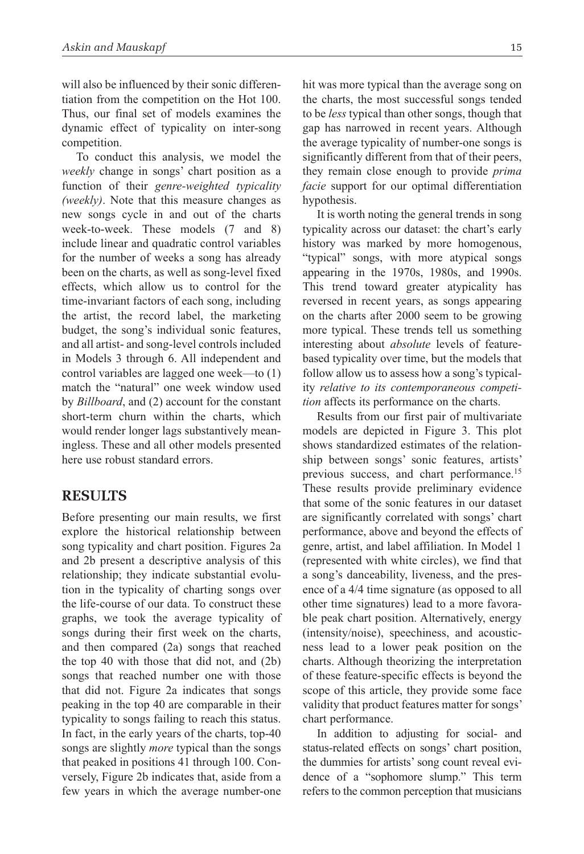will also be influenced by their sonic differentiation from the competition on the Hot 100. Thus, our final set of models examines the dynamic effect of typicality on inter-song competition.

To conduct this analysis, we model the *weekly* change in songs' chart position as a function of their *genre-weighted typicality (weekly)*. Note that this measure changes as new songs cycle in and out of the charts week-to-week. These models (7 and 8) include linear and quadratic control variables for the number of weeks a song has already been on the charts, as well as song-level fixed effects, which allow us to control for the time-invariant factors of each song, including the artist, the record label, the marketing budget, the song's individual sonic features, and all artist- and song-level controls included in Models 3 through 6. All independent and control variables are lagged one week—to (1) match the "natural" one week window used by *Billboard*, and (2) account for the constant short-term churn within the charts, which would render longer lags substantively meaningless. These and all other models presented here use robust standard errors.

## **Results**

Before presenting our main results, we first explore the historical relationship between song typicality and chart position. Figures 2a and 2b present a descriptive analysis of this relationship; they indicate substantial evolution in the typicality of charting songs over the life-course of our data. To construct these graphs, we took the average typicality of songs during their first week on the charts, and then compared (2a) songs that reached the top 40 with those that did not, and (2b) songs that reached number one with those that did not. Figure 2a indicates that songs peaking in the top 40 are comparable in their typicality to songs failing to reach this status. In fact, in the early years of the charts, top-40 songs are slightly *more* typical than the songs that peaked in positions 41 through 100. Conversely, Figure 2b indicates that, aside from a few years in which the average number-one

hit was more typical than the average song on the charts, the most successful songs tended to be *less* typical than other songs, though that gap has narrowed in recent years. Although the average typicality of number-one songs is significantly different from that of their peers, they remain close enough to provide *prima facie* support for our optimal differentiation hypothesis.

It is worth noting the general trends in song typicality across our dataset: the chart's early history was marked by more homogenous, "typical" songs, with more atypical songs appearing in the 1970s, 1980s, and 1990s. This trend toward greater atypicality has reversed in recent years, as songs appearing on the charts after 2000 seem to be growing more typical. These trends tell us something interesting about *absolute* levels of featurebased typicality over time, but the models that follow allow us to assess how a song's typicality *relative to its contemporaneous competition* affects its performance on the charts.

Results from our first pair of multivariate models are depicted in Figure 3. This plot shows standardized estimates of the relationship between songs' sonic features, artists' previous success, and chart performance.<sup>15</sup> These results provide preliminary evidence that some of the sonic features in our dataset are significantly correlated with songs' chart performance, above and beyond the effects of genre, artist, and label affiliation. In Model 1 (represented with white circles), we find that a song's danceability, liveness, and the presence of a 4/4 time signature (as opposed to all other time signatures) lead to a more favorable peak chart position. Alternatively, energy (intensity/noise), speechiness, and acousticness lead to a lower peak position on the charts. Although theorizing the interpretation of these feature-specific effects is beyond the scope of this article, they provide some face validity that product features matter for songs' chart performance.

In addition to adjusting for social- and status-related effects on songs' chart position, the dummies for artists' song count reveal evidence of a "sophomore slump." This term refers to the common perception that musicians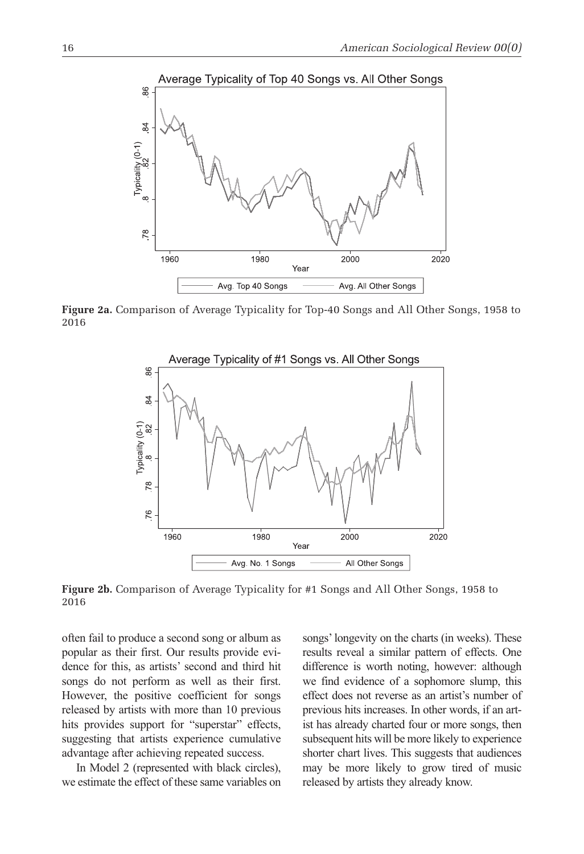

**Figure 2a.** Comparison of Average Typicality for Top-40 Songs and All Other Songs, 1958 to 2016



**Figure 2b.** Comparison of Average Typicality for #1 Songs and All Other Songs, 1958 to 2016

often fail to produce a second song or album as popular as their first. Our results provide evidence for this, as artists' second and third hit songs do not perform as well as their first. However, the positive coefficient for songs released by artists with more than 10 previous hits provides support for "superstar" effects, suggesting that artists experience cumulative advantage after achieving repeated success.

In Model 2 (represented with black circles), we estimate the effect of these same variables on songs' longevity on the charts (in weeks). These results reveal a similar pattern of effects. One difference is worth noting, however: although we find evidence of a sophomore slump, this effect does not reverse as an artist's number of previous hits increases. In other words, if an artist has already charted four or more songs, then subsequent hits will be more likely to experience shorter chart lives. This suggests that audiences may be more likely to grow tired of music released by artists they already know.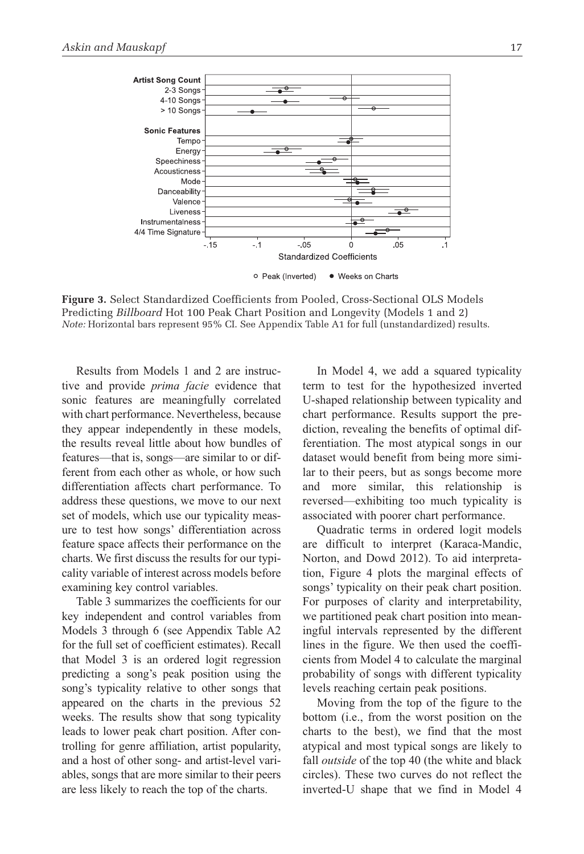

**Figure 3.** Select Standardized Coefficients from Pooled, Cross-Sectional OLS Models Predicting *Billboard* Hot 100 Peak Chart Position and Longevity (Models 1 and 2) *Note:* Horizontal bars represent 95% CI. See Appendix Table A1 for full (unstandardized) results.

Results from Models 1 and 2 are instructive and provide *prima facie* evidence that sonic features are meaningfully correlated with chart performance. Nevertheless, because they appear independently in these models, the results reveal little about how bundles of features—that is, songs—are similar to or different from each other as whole, or how such differentiation affects chart performance. To address these questions, we move to our next set of models, which use our typicality measure to test how songs' differentiation across feature space affects their performance on the charts. We first discuss the results for our typicality variable of interest across models before examining key control variables.

Table 3 summarizes the coefficients for our key independent and control variables from Models 3 through 6 (see Appendix Table A2 for the full set of coefficient estimates). Recall that model 3 is an ordered logit regression predicting a song's peak position using the song's typicality relative to other songs that appeared on the charts in the previous 52 weeks. The results show that song typicality leads to lower peak chart position. After controlling for genre affiliation, artist popularity, and a host of other song- and artist-level variables, songs that are more similar to their peers are less likely to reach the top of the charts.

In Model 4, we add a squared typicality term to test for the hypothesized inverted U-shaped relationship between typicality and chart performance. Results support the prediction, revealing the benefits of optimal differentiation. The most atypical songs in our dataset would benefit from being more similar to their peers, but as songs become more and more similar, this relationship is reversed—exhibiting too much typicality is associated with poorer chart performance.

Quadratic terms in ordered logit models are difficult to interpret (Karaca-Mandic, Norton, and Dowd 2012). To aid interpretation, Figure 4 plots the marginal effects of songs' typicality on their peak chart position. For purposes of clarity and interpretability, we partitioned peak chart position into meaningful intervals represented by the different lines in the figure. We then used the coefficients from Model 4 to calculate the marginal probability of songs with different typicality levels reaching certain peak positions.

Moving from the top of the figure to the bottom (i.e., from the worst position on the charts to the best), we find that the most atypical and most typical songs are likely to fall *outside* of the top 40 (the white and black circles). These two curves do not reflect the inverted-U shape that we find in Model 4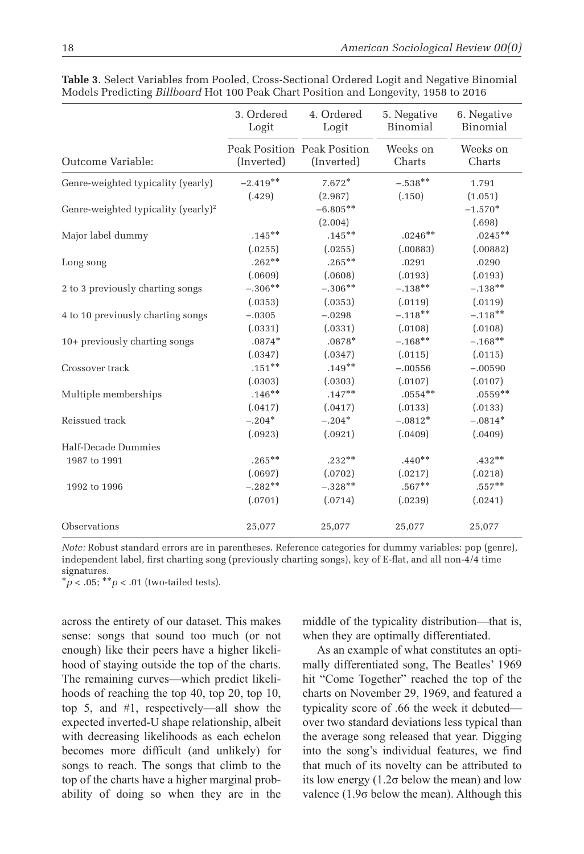|                                                 | 3. Ordered<br>Logit | 4. Ordered<br>Logit                       | 5. Negative<br>Binomial | 6. Negative<br>Binomial |
|-------------------------------------------------|---------------------|-------------------------------------------|-------------------------|-------------------------|
| Outcome Variable:                               | (Inverted)          | Peak Position Peak Position<br>(Inverted) | Weeks on<br>Charts      | Weeks on<br>Charts      |
| Genre-weighted typicality (yearly)              | $-2.419**$          | $7.672*$                                  | $-.538**$               | 1.791                   |
|                                                 | (.429)              | (2.987)                                   | (.150)                  | (1.051)                 |
| Genre-weighted typicality (yearly) <sup>2</sup> |                     | $-6.805**$                                |                         | $-1.570*$               |
|                                                 |                     | (2.004)                                   |                         | (.698)                  |
| Major label dummy                               | $.145***$           | $.145***$                                 | $.0246**$               | $.0245**$               |
|                                                 | (.0255)             | (.0255)                                   | (.00883)                | (.00882)                |
| Long song                                       | $.262**$            | $.265***$                                 | .0291                   | .0290                   |
|                                                 | (.0609)             | (.0608)                                   | (.0193)                 | (.0193)                 |
| 2 to 3 previously charting songs                | $-.306**$           | $-.306**$                                 | $-.138**$               | $-.138**$               |
|                                                 | (.0353)             | (.0353)                                   | (.0119)                 | (.0119)                 |
| 4 to 10 previously charting songs               | $-.0305$            | $-.0298$                                  | $-.118**$               | $-.118**$               |
|                                                 | (.0331)             | (.0331)                                   | (.0108)                 | (.0108)                 |
| 10+ previously charting songs                   | $.0874*$            | $.0878*$                                  | $-.168**$               | $-.168**$               |
|                                                 | (.0347)             | (.0347)                                   | (.0115)                 | (.0115)                 |
| Crossover track                                 | $.151***$           | $.149**$                                  | $-.00556$               | $-.00590$               |
|                                                 | (.0303)             | (.0303)                                   | (.0107)                 | (.0107)                 |
| Multiple memberships                            | $.146**$            | $.147**$                                  | $.0554**$               | $.0559**$               |
|                                                 | (.0417)             | (.0417)                                   | (.0133)                 | (.0133)                 |
| Reissued track                                  | $-.204*$            | $-.204*$                                  | $-.0812*$               | $-.0814*$               |
|                                                 | (.0923)             | (.0921)                                   | (.0409)                 | (.0409)                 |
| Half-Decade Dummies                             |                     |                                           |                         |                         |
| 1987 to 1991                                    | $.265***$           | $.232**$                                  | $.440**$                | $.432**$                |
|                                                 | (.0697)             | (.0702)                                   | (.0217)                 | (.0218)                 |
| 1992 to 1996                                    | $-.282**$           | $-.328**$                                 | $.567**$                | $.557***$               |
|                                                 | (.0701)             | (.0714)                                   | (.0239)                 | (.0241)                 |
| Observations                                    | 25,077              | 25,077                                    | 25,077                  | 25,077                  |

**Table 3**. Select Variables from Pooled, Cross-Sectional Ordered Logit and Negative Binomial Models Predicting *Billboard* Hot 100 Peak Chart Position and Longevity, 1958 to 2016

*Note:* Robust standard errors are in parentheses. Reference categories for dummy variables: pop (genre), independent label, first charting song (previously charting songs), key of E-flat, and all non-4/4 time signatures.

 $*_{p < .05;}$  \*\* $p < .01$  (two-tailed tests).

across the entirety of our dataset. This makes sense: songs that sound too much (or not enough) like their peers have a higher likelihood of staying outside the top of the charts. The remaining curves—which predict likelihoods of reaching the top 40, top 20, top 10, top 5, and #1, respectively—all show the expected inverted-U shape relationship, albeit with decreasing likelihoods as each echelon becomes more difficult (and unlikely) for songs to reach. The songs that climb to the top of the charts have a higher marginal probability of doing so when they are in the middle of the typicality distribution—that is, when they are optimally differentiated.

As an example of what constitutes an optimally differentiated song, The Beatles' 1969 hit "Come Together" reached the top of the charts on November 29, 1969, and featured a typicality score of .66 the week it debuted over two standard deviations less typical than the average song released that year. Digging into the song's individual features, we find that much of its novelty can be attributed to its low energy  $(1.2\sigma)$  below the mean) and low valence  $(1.9\sigma)$  below the mean). Although this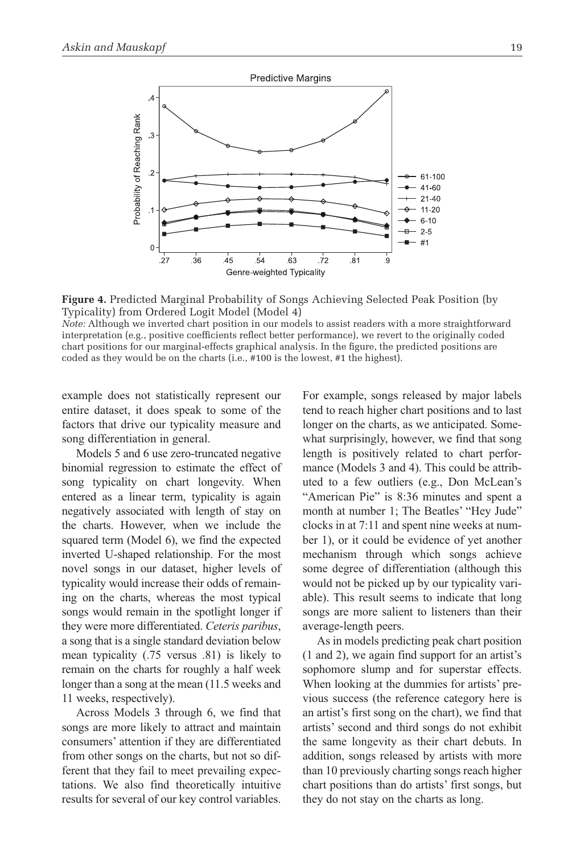

**Figure 4.** Predicted Marginal Probability of Songs Achieving Selected Peak Position (by Typicality) from Ordered Logit Model (Model 4)

*Note:* Although we inverted chart position in our models to assist readers with a more straightforward interpretation (e.g., positive coefficients reflect better performance), we revert to the originally coded chart positions for our marginal-effects graphical analysis. In the figure, the predicted positions are coded as they would be on the charts (i.e., #100 is the lowest, #1 the highest).

example does not statistically represent our entire dataset, it does speak to some of the factors that drive our typicality measure and song differentiation in general.

Models 5 and 6 use zero-truncated negative binomial regression to estimate the effect of song typicality on chart longevity. When entered as a linear term, typicality is again negatively associated with length of stay on the charts. However, when we include the squared term (Model 6), we find the expected inverted U-shaped relationship. For the most novel songs in our dataset, higher levels of typicality would increase their odds of remaining on the charts, whereas the most typical songs would remain in the spotlight longer if they were more differentiated. *Ceteris paribus*, a song that is a single standard deviation below mean typicality (.75 versus .81) is likely to remain on the charts for roughly a half week longer than a song at the mean (11.5 weeks and 11 weeks, respectively).

Across Models 3 through 6, we find that songs are more likely to attract and maintain consumers' attention if they are differentiated from other songs on the charts, but not so different that they fail to meet prevailing expectations. We also find theoretically intuitive results for several of our key control variables. For example, songs released by major labels tend to reach higher chart positions and to last longer on the charts, as we anticipated. Somewhat surprisingly, however, we find that song length is positively related to chart performance (Models 3 and 4). This could be attributed to a few outliers (e.g., Don McLean's "American Pie" is 8:36 minutes and spent a month at number 1; The Beatles' "Hey Jude" clocks in at 7:11 and spent nine weeks at number 1), or it could be evidence of yet another mechanism through which songs achieve some degree of differentiation (although this would not be picked up by our typicality variable). This result seems to indicate that long songs are more salient to listeners than their average-length peers.

As in models predicting peak chart position (1 and 2), we again find support for an artist's sophomore slump and for superstar effects. When looking at the dummies for artists' previous success (the reference category here is an artist's first song on the chart), we find that artists' second and third songs do not exhibit the same longevity as their chart debuts. In addition, songs released by artists with more than 10 previously charting songs reach higher chart positions than do artists' first songs, but they do not stay on the charts as long.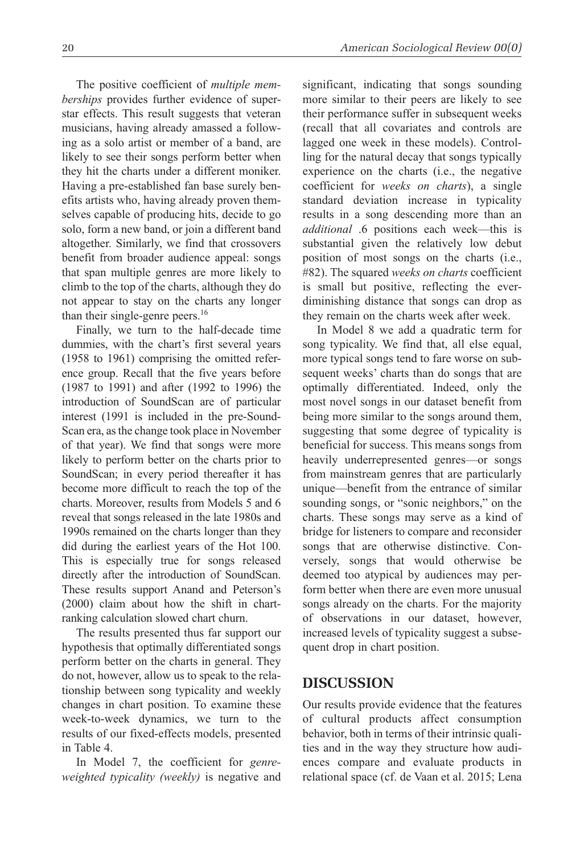The positive coefficient of *multiple memberships* provides further evidence of superstar effects. This result suggests that veteran musicians, having already amassed a following as a solo artist or member of a band, are likely to see their songs perform better when they hit the charts under a different moniker. Having a pre-established fan base surely benefits artists who, having already proven themselves capable of producing hits, decide to go solo, form a new band, or join a different band altogether. Similarly, we find that crossovers benefit from broader audience appeal: songs that span multiple genres are more likely to climb to the top of the charts, although they do not appear to stay on the charts any longer than their single-genre peers.<sup>16</sup>

Finally, we turn to the half-decade time dummies, with the chart's first several years (1958 to 1961) comprising the omitted reference group. Recall that the five years before (1987 to 1991) and after (1992 to 1996) the introduction of SoundScan are of particular interest (1991 is included in the pre-Sound-Scan era, as the change took place in November of that year). We find that songs were more likely to perform better on the charts prior to SoundScan; in every period thereafter it has become more difficult to reach the top of the charts. Moreover, results from Models 5 and 6 reveal that songs released in the late 1980s and 1990s remained on the charts longer than they did during the earliest years of the Hot 100. This is especially true for songs released directly after the introduction of SoundScan. These results support Anand and Peterson's (2000) claim about how the shift in chartranking calculation slowed chart churn.

The results presented thus far support our hypothesis that optimally differentiated songs perform better on the charts in general. They do not, however, allow us to speak to the relationship between song typicality and weekly changes in chart position. To examine these week-to-week dynamics, we turn to the results of our fixed-effects models, presented in Table 4.

In Model 7, the coefficient for *genreweighted typicality (weekly)* is negative and significant, indicating that songs sounding more similar to their peers are likely to see their performance suffer in subsequent weeks (recall that all covariates and controls are lagged one week in these models). Controlling for the natural decay that songs typically experience on the charts (i.e., the negative coefficient for *weeks on charts*), a single standard deviation increase in typicality results in a song descending more than an *additional* .6 positions each week—this is substantial given the relatively low debut position of most songs on the charts (i.e., #82). The squared *weeks on charts* coefficient is small but positive, reflecting the everdiminishing distance that songs can drop as they remain on the charts week after week.

In Model 8 we add a quadratic term for song typicality. We find that, all else equal, more typical songs tend to fare worse on subsequent weeks' charts than do songs that are optimally differentiated. Indeed, only the most novel songs in our dataset benefit from being more similar to the songs around them, suggesting that some degree of typicality is beneficial for success. This means songs from heavily underrepresented genres—or songs from mainstream genres that are particularly unique—benefit from the entrance of similar sounding songs, or "sonic neighbors," on the charts. These songs may serve as a kind of bridge for listeners to compare and reconsider songs that are otherwise distinctive. Conversely, songs that would otherwise be deemed too atypical by audiences may perform better when there are even more unusual songs already on the charts. For the majority of observations in our dataset, however, increased levels of typicality suggest a subsequent drop in chart position.

## **Discussion**

Our results provide evidence that the features of cultural products affect consumption behavior, both in terms of their intrinsic qualities and in the way they structure how audiences compare and evaluate products in relational space (cf. de Vaan et al. 2015; Lena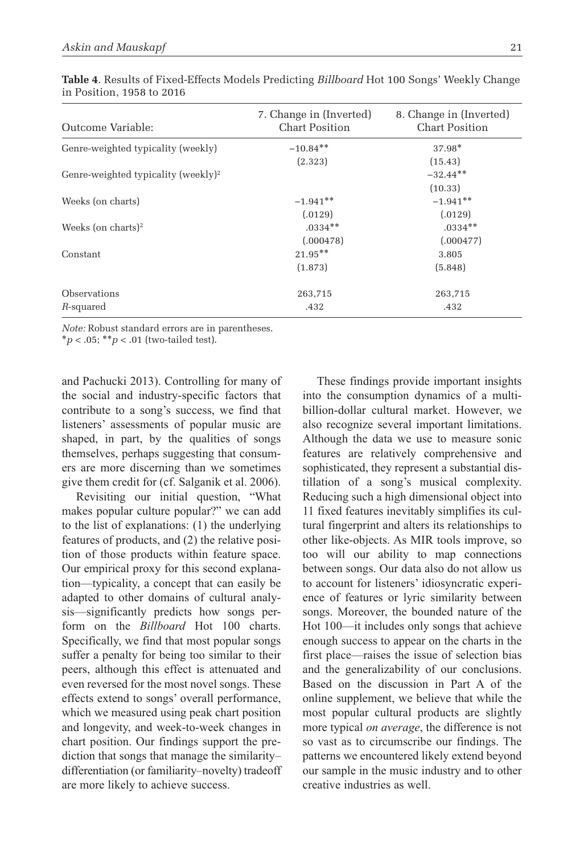| Outcome Variable:                               | 7. Change in (Inverted)<br><b>Chart Position</b> | 8. Change in (Inverted)<br><b>Chart Position</b> |
|-------------------------------------------------|--------------------------------------------------|--------------------------------------------------|
| Genre-weighted typicality (weekly)              | $-10.84**$                                       | $37.98*$                                         |
|                                                 | (2.323)                                          | (15.43)                                          |
| Genre-weighted typicality (weekly) <sup>2</sup> |                                                  | $-32.44**$                                       |
|                                                 |                                                  | (10.33)                                          |
| Weeks (on charts)                               | $-1.941**$                                       | $-1.941**$                                       |
|                                                 | (.0129)                                          | (.0129)                                          |
| Weeks (on charts) <sup>2</sup>                  | $.0334**$                                        | $.0334**$                                        |
|                                                 | (.000478)                                        | (.000477)                                        |
| Constant                                        | $21.95***$                                       | 3.805                                            |
|                                                 | (1.873)                                          | (5.848)                                          |
| Observations                                    | 263,715                                          | 263,715                                          |
| R-squared                                       | .432                                             | .432                                             |

**Table 4**. Results of Fixed-Effects Models Predicting *Billboard* Hot 100 Songs' Weekly Change in Position, 1958 to 2016

*Note:* Robust standard errors are in parentheses. \**p* < .05; \*\**p* < .01 (two-tailed test).

and Pachucki 2013). Controlling for many of the social and industry-specific factors that contribute to a song's success, we find that listeners' assessments of popular music are shaped, in part, by the qualities of songs themselves, perhaps suggesting that consumers are more discerning than we sometimes give them credit for (cf. Salganik et al. 2006).

Revisiting our initial question, "what makes popular culture popular?" we can add to the list of explanations: (1) the underlying features of products, and (2) the relative position of those products within feature space. Our empirical proxy for this second explanation—typicality, a concept that can easily be adapted to other domains of cultural analysis—significantly predicts how songs perform on the *Billboard* Hot 100 charts. Specifically, we find that most popular songs suffer a penalty for being too similar to their peers, although this effect is attenuated and even reversed for the most novel songs. These effects extend to songs' overall performance, which we measured using peak chart position and longevity, and week-to-week changes in chart position. Our findings support the prediction that songs that manage the similarity– differentiation (or familiarity–novelty) tradeoff are more likely to achieve success.

These findings provide important insights into the consumption dynamics of a multibillion-dollar cultural market. However, we also recognize several important limitations. Although the data we use to measure sonic features are relatively comprehensive and sophisticated, they represent a substantial distillation of a song's musical complexity. Reducing such a high dimensional object into 11 fixed features inevitably simplifies its cultural fingerprint and alters its relationships to other like-objects. As MIR tools improve, so too will our ability to map connections between songs. Our data also do not allow us to account for listeners' idiosyncratic experience of features or lyric similarity between songs. Moreover, the bounded nature of the Hot 100—it includes only songs that achieve enough success to appear on the charts in the first place—raises the issue of selection bias and the generalizability of our conclusions. Based on the discussion in Part A of the online supplement, we believe that while the most popular cultural products are slightly more typical *on average*, the difference is not so vast as to circumscribe our findings. The patterns we encountered likely extend beyond our sample in the music industry and to other creative industries as well.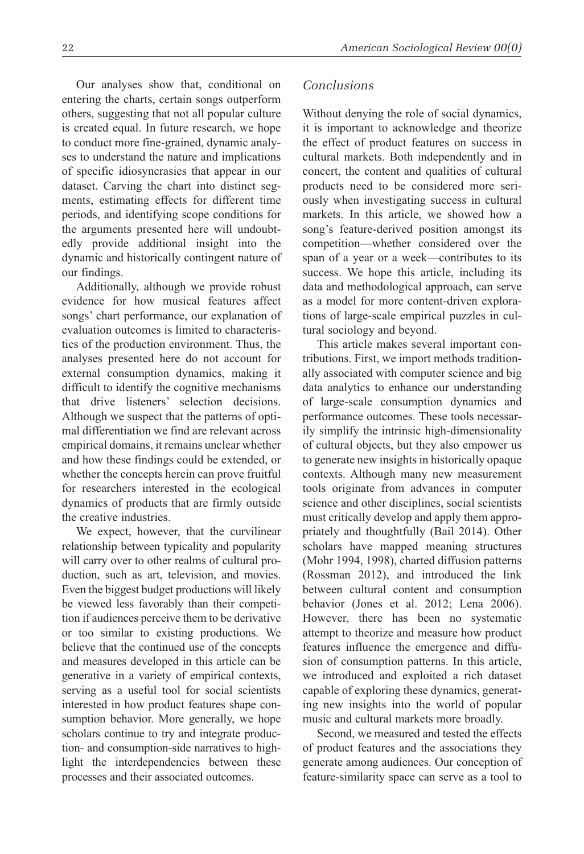Our analyses show that, conditional on entering the charts, certain songs outperform others, suggesting that not all popular culture is created equal. In future research, we hope to conduct more fine-grained, dynamic analyses to understand the nature and implications of specific idiosyncrasies that appear in our dataset. Carving the chart into distinct segments, estimating effects for different time periods, and identifying scope conditions for the arguments presented here will undoubtedly provide additional insight into the dynamic and historically contingent nature of our findings.

Additionally, although we provide robust evidence for how musical features affect songs' chart performance, our explanation of evaluation outcomes is limited to characteristics of the production environment. Thus, the analyses presented here do not account for external consumption dynamics, making it difficult to identify the cognitive mechanisms that drive listeners' selection decisions. Although we suspect that the patterns of optimal differentiation we find are relevant across empirical domains, it remains unclear whether and how these findings could be extended, or whether the concepts herein can prove fruitful for researchers interested in the ecological dynamics of products that are firmly outside the creative industries.

We expect, however, that the curvilinear relationship between typicality and popularity will carry over to other realms of cultural production, such as art, television, and movies. Even the biggest budget productions will likely be viewed less favorably than their competition if audiences perceive them to be derivative or too similar to existing productions. We believe that the continued use of the concepts and measures developed in this article can be generative in a variety of empirical contexts, serving as a useful tool for social scientists interested in how product features shape consumption behavior. More generally, we hope scholars continue to try and integrate production- and consumption-side narratives to highlight the interdependencies between these processes and their associated outcomes.

#### *Conclusions*

Without denying the role of social dynamics, it is important to acknowledge and theorize the effect of product features on success in cultural markets. Both independently and in concert, the content and qualities of cultural products need to be considered more seriously when investigating success in cultural markets. In this article, we showed how a song's feature-derived position amongst its competition—whether considered over the span of a year or a week—contributes to its success. We hope this article, including its data and methodological approach, can serve as a model for more content-driven explorations of large-scale empirical puzzles in cultural sociology and beyond.

This article makes several important contributions. First, we import methods traditionally associated with computer science and big data analytics to enhance our understanding of large-scale consumption dynamics and performance outcomes. These tools necessarily simplify the intrinsic high-dimensionality of cultural objects, but they also empower us to generate new insights in historically opaque contexts. Although many new measurement tools originate from advances in computer science and other disciplines, social scientists must critically develop and apply them appropriately and thoughtfully (Bail 2014). Other scholars have mapped meaning structures (Mohr 1994, 1998), charted diffusion patterns (Rossman 2012), and introduced the link between cultural content and consumption behavior (Jones et al. 2012; Lena 2006). However, there has been no systematic attempt to theorize and measure how product features influence the emergence and diffusion of consumption patterns. In this article, we introduced and exploited a rich dataset capable of exploring these dynamics, generating new insights into the world of popular music and cultural markets more broadly.

Second, we measured and tested the effects of product features and the associations they generate among audiences. Our conception of feature-similarity space can serve as a tool to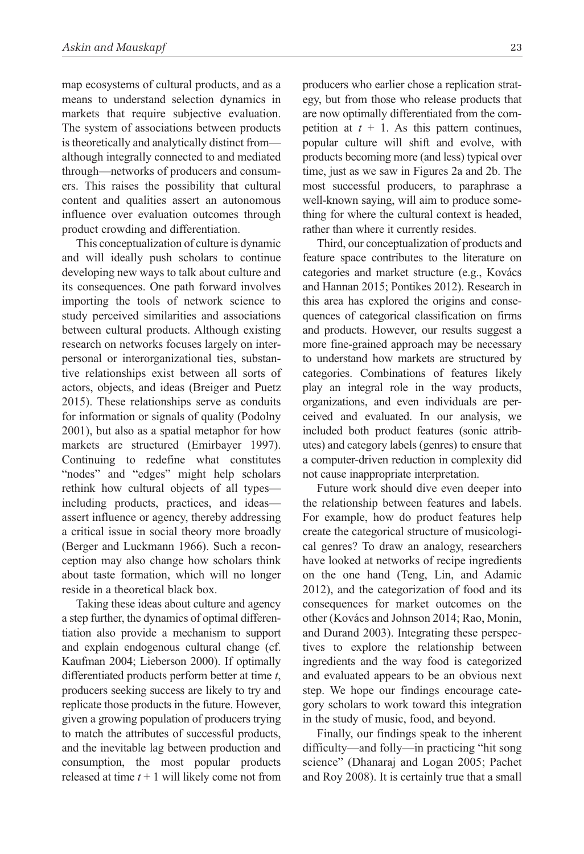map ecosystems of cultural products, and as a means to understand selection dynamics in markets that require subjective evaluation. The system of associations between products is theoretically and analytically distinct from although integrally connected to and mediated through—networks of producers and consumers. This raises the possibility that cultural content and qualities assert an autonomous influence over evaluation outcomes through product crowding and differentiation.

This conceptualization of culture is dynamic and will ideally push scholars to continue developing new ways to talk about culture and its consequences. One path forward involves importing the tools of network science to study perceived similarities and associations between cultural products. Although existing research on networks focuses largely on interpersonal or interorganizational ties, substantive relationships exist between all sorts of actors, objects, and ideas (Breiger and Puetz 2015). These relationships serve as conduits for information or signals of quality (Podolny 2001), but also as a spatial metaphor for how markets are structured (Emirbayer 1997). Continuing to redefine what constitutes "nodes" and "edges" might help scholars rethink how cultural objects of all types including products, practices, and ideas assert influence or agency, thereby addressing a critical issue in social theory more broadly (Berger and Luckmann 1966). Such a reconception may also change how scholars think about taste formation, which will no longer reside in a theoretical black box.

Taking these ideas about culture and agency a step further, the dynamics of optimal differentiation also provide a mechanism to support and explain endogenous cultural change (cf. Kaufman 2004; Lieberson 2000). If optimally differentiated products perform better at time *t*, producers seeking success are likely to try and replicate those products in the future. However, given a growing population of producers trying to match the attributes of successful products, and the inevitable lag between production and consumption, the most popular products released at time  $t + 1$  will likely come not from producers who earlier chose a replication strategy, but from those who release products that are now optimally differentiated from the competition at  $t + 1$ . As this pattern continues, popular culture will shift and evolve, with products becoming more (and less) typical over time, just as we saw in Figures 2a and 2b. The most successful producers, to paraphrase a well-known saying, will aim to produce something for where the cultural context is headed, rather than where it currently resides.

Third, our conceptualization of products and feature space contributes to the literature on categories and market structure (e.g., Kovács and Hannan 2015; Pontikes 2012). Research in this area has explored the origins and consequences of categorical classification on firms and products. However, our results suggest a more fine-grained approach may be necessary to understand how markets are structured by categories. Combinations of features likely play an integral role in the way products, organizations, and even individuals are perceived and evaluated. In our analysis, we included both product features (sonic attributes) and category labels (genres) to ensure that a computer-driven reduction in complexity did not cause inappropriate interpretation.

Future work should dive even deeper into the relationship between features and labels. For example, how do product features help create the categorical structure of musicological genres? To draw an analogy, researchers have looked at networks of recipe ingredients on the one hand (Teng, Lin, and Adamic 2012), and the categorization of food and its consequences for market outcomes on the other (Kovács and Johnson 2014; Rao, Monin, and Durand 2003). Integrating these perspectives to explore the relationship between ingredients and the way food is categorized and evaluated appears to be an obvious next step. We hope our findings encourage category scholars to work toward this integration in the study of music, food, and beyond.

Finally, our findings speak to the inherent difficulty—and folly—in practicing "hit song science" (Dhanaraj and Logan 2005; Pachet and Roy 2008). It is certainly true that a small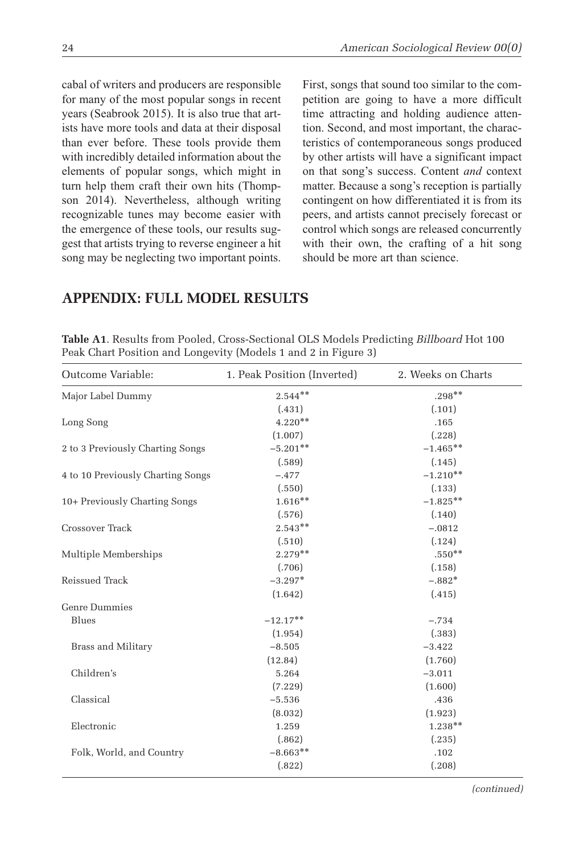cabal of writers and producers are responsible for many of the most popular songs in recent years (Seabrook 2015). It is also true that artists have more tools and data at their disposal than ever before. These tools provide them with incredibly detailed information about the elements of popular songs, which might in turn help them craft their own hits (Thompson 2014). Nevertheless, although writing recognizable tunes may become easier with the emergence of these tools, our results suggest that artists trying to reverse engineer a hit song may be neglecting two important points. First, songs that sound too similar to the competition are going to have a more difficult time attracting and holding audience attention. Second, and most important, the characteristics of contemporaneous songs produced by other artists will have a significant impact on that song's success. Content *and* context matter. Because a song's reception is partially contingent on how differentiated it is from its peers, and artists cannot precisely forecast or control which songs are released concurrently with their own, the crafting of a hit song should be more art than science.

# **Appendix: Full Model Results**

|                                   | Peak Chart Position and Longevity (Models 1 and 2 in Figure 3) |                    |
|-----------------------------------|----------------------------------------------------------------|--------------------|
| Outcome Variable:                 | 1. Peak Position (Inverted)                                    | 2. Weeks on Charts |
| Major Label Dummy                 | $2.544**$                                                      | $.298**$           |
|                                   | (.431)                                                         | (.101)             |
| Long Song                         | $4.220**$                                                      | .165               |
|                                   | (1.007)                                                        | (.228)             |
| 2 to 3 Previously Charting Songs  | $-5.201**$                                                     | $-1.465**$         |
|                                   | (.589)                                                         | (.145)             |
| 4 to 10 Previously Charting Songs | $-.477$                                                        | $-1.210**$         |
|                                   | (.550)                                                         | (.133)             |
| 10+ Previously Charting Songs     | $1.616**$                                                      | $-1.825**$         |
|                                   | (.576)                                                         | (.140)             |
| Crossover Track                   | $2.543**$                                                      | $-.0812$           |
|                                   | (.510)                                                         | (.124)             |
| Multiple Memberships              | $2.279**$                                                      | $.550**$           |
|                                   | (.706)                                                         | (.158)             |
| Reissued Track                    | $-3.297*$                                                      | $-.882*$           |
|                                   | (1.642)                                                        | (.415)             |
| <b>Genre Dummies</b>              |                                                                |                    |
| Blues                             | $-12.17***$                                                    | $-.734$            |
|                                   | (1.954)                                                        | (.383)             |
| <b>Brass and Military</b>         | $-8.505$                                                       | $-3.422$           |
|                                   | (12.84)                                                        | (1.760)            |
| Children's                        | 5.264                                                          | $-3.011$           |
|                                   | (7.229)                                                        | (1.600)            |
| Classical                         | $-5.536$                                                       | .436               |
|                                   | (8.032)                                                        | (1.923)            |
| Electronic                        | 1.259                                                          | $1.238**$          |
|                                   | (.862)                                                         | (.235)             |
| Folk, World, and Country          | $-8.663**$                                                     | .102               |
|                                   | (.822)                                                         | (.208)             |

**Table A1**. Results from Pooled, Cross-Sectional OLS Models Predicting *Billboard* Hot 100 Peak Chart Position and Longevity (Models 1 and 2 in Figure 3)

*(continued)*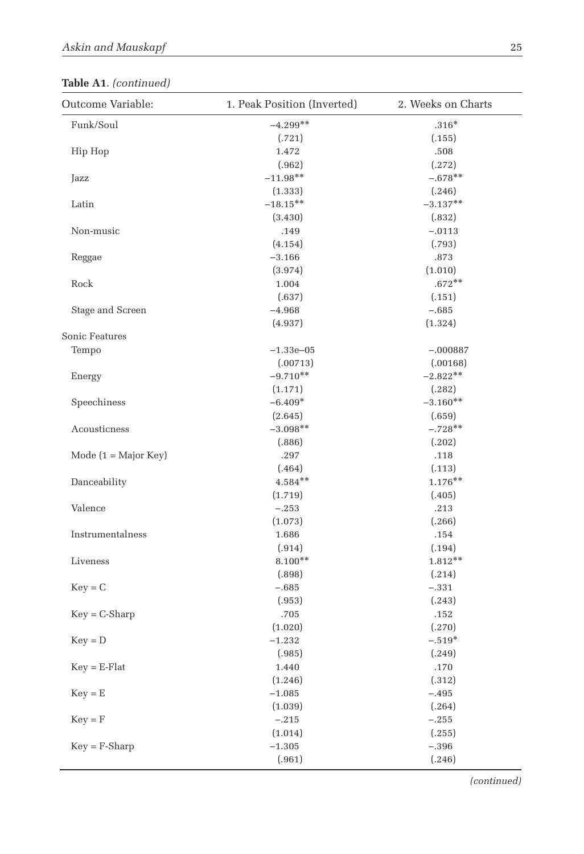# **Table A1**. *(continued)*

| Outcome Variable:      | 1. Peak Position (Inverted)<br>2. Weeks on Charts |            |
|------------------------|---------------------------------------------------|------------|
| Funk/Soul              | $-4.299**$                                        | $.316*$    |
|                        | (.721)                                            | (.155)     |
| Hip Hop                | 1.472                                             | .508       |
|                        | (.962)                                            | (.272)     |
| Jazz                   | $-11.98**$                                        | $-.678**$  |
|                        | (1.333)                                           | (.246)     |
| Latin                  | $-18.15***$                                       | $-3.137**$ |
|                        | (3.430)                                           | (.832)     |
| Non-music              | .149                                              | $-.0113$   |
|                        | (4.154)                                           | (.793)     |
| Reggae                 | $-3.166$                                          | .873       |
|                        | (3.974)                                           | (1.010)    |
| Rock                   | 1.004                                             | $.672**$   |
|                        | (.637)                                            | (.151)     |
| Stage and Screen       | $-4.968$                                          | $-.685$    |
|                        | (4.937)                                           | (1.324)    |
| Sonic Features         |                                                   |            |
| Tempo                  | $-1.33e - 05$                                     | $-.000887$ |
|                        | (.00713)                                          | (.00168)   |
| Energy                 | $-9.710**$                                        | $-2.822**$ |
|                        | (1.171)                                           | (.282)     |
| Speechiness            | $-6.409*$                                         | $-3.160**$ |
|                        | (2.645)                                           | (.659)     |
| Acousticness           | $-3.098**$                                        | $-.728**$  |
|                        | (.886)                                            | (.202)     |
| Mode $(1 = Major Key)$ | .297                                              | .118       |
|                        | (.464)                                            | (.113)     |
| Danceability           | $4.584**$                                         | $1.176**$  |
|                        | (1.719)                                           | (.405)     |
| Valence                | $-.253$                                           | .213       |
|                        | (1.073)                                           | (.266)     |
| Instrumentalness       | 1.686                                             | .154       |
|                        | (.914)                                            | (.194)     |
| Liveness               | $8.100**$                                         | $1.812**$  |
|                        | (.898)                                            | (.214)     |
| $Key = C$              | $-.685$                                           | $-.331$    |
|                        | (.953)                                            | (.243)     |
| $Key = C-Sharp$        | .705                                              | .152       |
|                        | (1.020)                                           | (.270)     |
| $Key = D$              | $-1.232$                                          | $-.519*$   |
|                        | (.985)                                            | (.249)     |
| $Key = E\text{-Flat}$  | 1.440                                             | .170       |
|                        | (1.246)                                           | (.312)     |
| $Key = E$              | $-1.085$                                          | $-.495$    |
|                        | (1.039)                                           | (.264)     |
| $Key = F$              | $-.215$                                           | $-.255$    |
|                        | (1.014)                                           | (.255)     |
| $Key = F-Sharp$        | $-1.305$                                          | $-.396$    |
|                        | (.961)                                            | (.246)     |

*(continued)*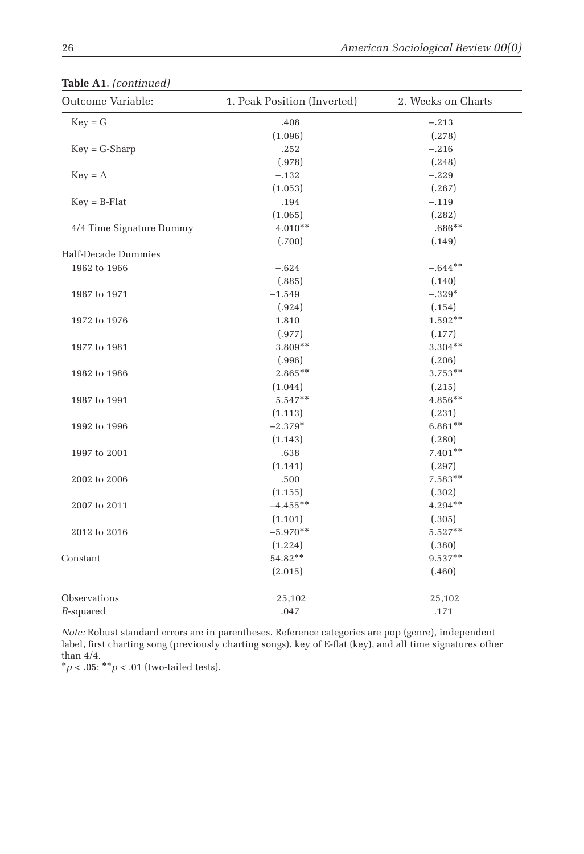| Outcome Variable:        | 1. Peak Position (Inverted) | 2. Weeks on Charts |
|--------------------------|-----------------------------|--------------------|
| $Key = G$                | .408                        | $-.213$            |
|                          | (1.096)                     | (.278)             |
| $Key = G-Sharp$          | .252                        | $-.216$            |
|                          | (.978)                      | (.248)             |
| $Key = A$                | $-.132$                     | $-.229$            |
|                          | (1.053)                     | (.267)             |
| $Key = B-Flat$           | .194                        | $-.119$            |
|                          | (1.065)                     | (.282)             |
| 4/4 Time Signature Dummy | $4.010**$                   | $.686**$           |
|                          | (.700)                      | (.149)             |
| Half-Decade Dummies      |                             |                    |
| 1962 to 1966             | $-.624$                     | $-.644**$          |
|                          | (.885)                      | (.140)             |
| 1967 to 1971             | $-1.549$                    | $-.329*$           |
|                          | (.924)                      | (.154)             |
| 1972 to 1976             | 1.810                       | $1.592**$          |
|                          | (.977)                      | (.177)             |
| 1977 to 1981             | 3.809**                     | $3.304**$          |
|                          | (.996)                      | (.206)             |
| 1982 to 1986             | $2.865***$                  | $3.753**$          |
|                          | (1.044)                     | (.215)             |
| 1987 to 1991             | $5.547**$                   | 4.856**            |
|                          | (1.113)                     | (.231)             |
| 1992 to 1996             | $-2.379*$                   | $6.881**$          |
|                          | (1.143)                     | (.280)             |
| 1997 to 2001             | .638                        | $7.401**$          |
|                          | (1.141)                     | (.297)             |
| 2002 to 2006             | .500                        | $7.583**$          |
|                          | (1.155)                     | (.302)             |
| 2007 to 2011             | $-4.455***$                 | $4.294**$          |
|                          | (1.101)                     | (.305)             |
| 2012 to 2016             | $-5.970**$                  | $5.527**$          |
|                          | (1.224)                     | (.380)             |
| Constant                 | 54.82**                     | $9.537**$          |
|                          | (2.015)                     | (.460)             |
| Observations             | 25,102                      | 25,102             |
| $R$ -squared             | .047                        | .171               |

**Table A1**. *(continued)*

*Note:* Robust standard errors are in parentheses. Reference categories are pop (genre), independent label, first charting song (previously charting songs), key of E-flat (key), and all time signatures other than 4/4.

 $*p < .05; **p < .01$  (two-tailed tests).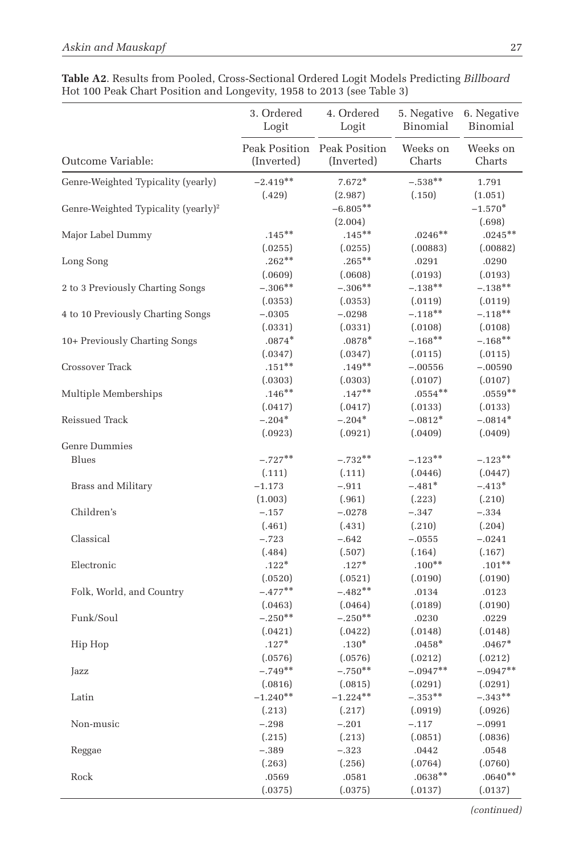|                                                 | 3. Ordered<br>Logit  | 4. Ordered<br>Logit                       | 5. Negative<br>Binomial | 6. Negative<br>Binomial        |
|-------------------------------------------------|----------------------|-------------------------------------------|-------------------------|--------------------------------|
| Outcome Variable:                               | (Inverted)           | Peak Position Peak Position<br>(Inverted) | Weeks on<br>Charts      | Weeks on<br>Charts             |
| Genre-Weighted Typicality (yearly)              | $-2.419**$           | $7.672*$                                  | $-.538**$               | 1.791                          |
| Genre-Weighted Typicality (yearly) <sup>2</sup> | (.429)               | (2.987)<br>$-6.805**$<br>(2.004)          | (.150)                  | (1.051)<br>$-1.570*$<br>(.698) |
| Major Label Dummy                               | $.145***$<br>(.0255) | $.145***$<br>(.0255)                      | $.0246**$<br>(.00883)   | $.0245***$<br>(.00882)         |
| Long Song                                       | $.262**$<br>(.0609)  | $.265***$<br>(.0608)                      | .0291<br>(.0193)        | .0290<br>(.0193)               |
| 2 to 3 Previously Charting Songs                | $-.306**$<br>(.0353) | $-.306**$<br>(.0353)                      | $-.138**$<br>(.0119)    | $-.138**$<br>(.0119)           |
| 4 to 10 Previously Charting Songs               | $-.0305$<br>(.0331)  | $-.0298$<br>(.0331)                       | $-.118**$<br>(.0108)    | $-.118**$<br>(.0108)           |
| 10+ Previously Charting Songs                   | $.0874*$<br>(.0347)  | $.0878*$<br>(.0347)                       | $-.168**$<br>(.0115)    | $-.168**$<br>(.0115)           |
| Crossover Track                                 | $.151***$<br>(.0303) | $.149**$<br>(.0303)                       | $-.00556$<br>(.0107)    | $-.00590$<br>(.0107)           |
| Multiple Memberships                            | $.146**$<br>(.0417)  | $.147**$<br>(.0417)                       | $.0554***$<br>(.0133)   | $.0559**$<br>(.0133)           |
| Reissued Track                                  | $-.204*$<br>(.0923)  | $-.204*$<br>(.0921)                       | $-.0812*$<br>(.0409)    | $-.0814*$<br>(.0409)           |
| <b>Genre Dummies</b>                            |                      |                                           |                         |                                |
| Blues                                           | $-.727**$            | $-.732**$                                 | $-.123**$               | $-.123**$                      |
|                                                 | (.111)               | (.111)                                    | (.0446)                 | (.0447)                        |
| <b>Brass and Military</b>                       | $-1.173$             | $-.911$                                   | $-.481*$                | $-.413*$                       |
|                                                 | (1.003)              | (.961)                                    | (.223)                  | (.210)                         |
| Children's                                      | $-.157$              | $-.0278$                                  | $-.347$                 | $-.334$                        |
|                                                 | (.461)               | (.431)                                    | (.210)                  | (.204)                         |
| Classical                                       | $-.723$              | $-.642$                                   | $-.0555$                | $-.0241$                       |
|                                                 | (.484)               | (.507)                                    | (.164)                  | (.167)                         |
| Electronic                                      | $.122*$              | $.127*$                                   | $.100**$                | $.101**$                       |
|                                                 | (.0520)              | (.0521)                                   | (.0190)                 | (.0190)                        |
| Folk, World, and Country                        | $-.477**$            | $-.482**$                                 | .0134                   | .0123                          |
|                                                 | (.0463)              | (.0464)                                   | (.0189)                 | (.0190)                        |
| Funk/Soul                                       | $-.250**$            | $-.250**$                                 | .0230                   | .0229                          |
|                                                 | (.0421)              | (.0422)                                   | (.0148)                 | (.0148)                        |
| Hip Hop                                         | $.127*$              | $.130*$                                   | $.0458*$                | $.0467*$                       |
|                                                 | (.0576)              | (.0576)                                   | (.0212)                 | (.0212)                        |
| Jazz                                            | $-.749**$            | $-.750**$                                 | $-.0947**$              | $-.0947**$                     |
|                                                 | (.0816)              | (.0815)                                   | (.0291)                 | (.0291)                        |
| Latin                                           | $-1.240**$           | $-1.224**$                                | $-.353**$               | $-.343**$                      |
|                                                 | (.213)               | (.217)                                    | (.0919)                 | (.0926)                        |
| Non-music                                       | $-.298$              | $-.201$                                   | $-.117$                 | $-.0991$                       |
|                                                 | (.215)               | (.213)                                    | (.0851)                 | (.0836)                        |
| Reggae                                          | $-.389$              | $-.323$                                   | .0442                   | .0548                          |
|                                                 | (.263)               | (.256)                                    | (.0764)                 | (.0760)                        |
| Rock                                            | .0569                | .0581                                     | $.0638***$              | $.0640**$                      |
|                                                 | (.0375)              | (.0375)                                   | (.0137)                 | (.0137)                        |

| Table A2. Results from Pooled, Cross-Sectional Ordered Logit Models Predicting Billboard |  |
|------------------------------------------------------------------------------------------|--|
| Hot 100 Peak Chart Position and Longevity, 1958 to 2013 (see Table 3)                    |  |

*(continued)*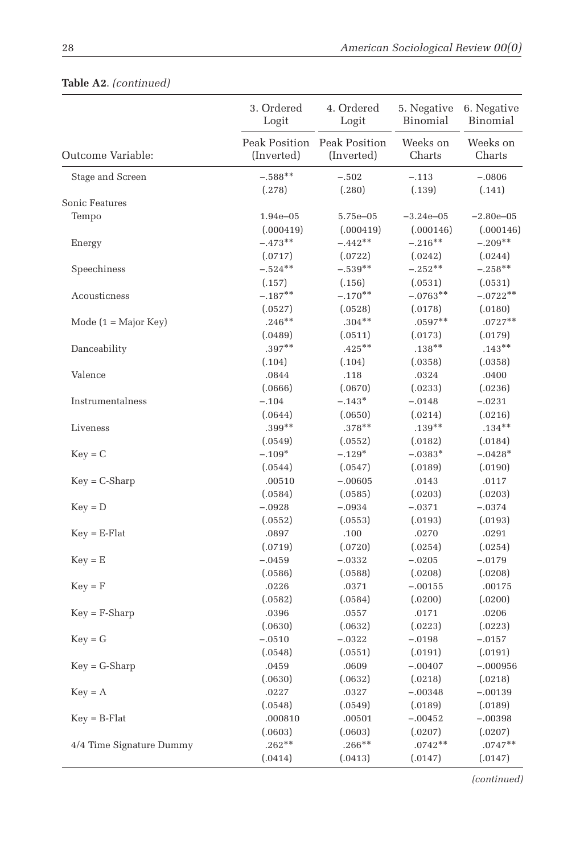|                               | 3. Ordered<br>Logit | 4. Ordered<br>Logit                       | 5. Negative<br>Binomial | 6. Negative<br>Binomial |
|-------------------------------|---------------------|-------------------------------------------|-------------------------|-------------------------|
| Outcome Variable:             | (Inverted)          | Peak Position Peak Position<br>(Inverted) | Weeks on<br>Charts      | Weeks on<br>Charts      |
| Stage and Screen              | $-.588**$<br>(.278) | $-.502$<br>(.280)                         | $-.113$<br>(.139)       | $-.0806$<br>(.141)      |
| Sonic Features                |                     |                                           |                         |                         |
| Tempo                         | 1.94e-05            | 5.75e-05                                  | $-3.24e - 05$           | $-2.80e - 05$           |
|                               | (.000419)           | (.000419)                                 | (.000146)               | (.000146)               |
| Energy                        | $-.473**$           | $-.442**$                                 | $-.216**$               | $-.209**$               |
|                               | (.0717)             | (.0722)                                   | (.0242)                 | (.0244)                 |
| Speechiness                   | $-.524**$           | $-.539**$                                 | $-.252**$               | $-.258**$               |
|                               | (.157)              | (.156)                                    | (.0531)                 | (.0531)                 |
| Acousticness                  | $-.187**$           | $-.170**$                                 | $-.0763**$              | $-.0722**$              |
|                               | (.0527)             | (.0528)                                   | (.0178)                 | (.0180)                 |
| Mode $(1 = \text{Major Key})$ | $.246**$            | $.304**$                                  | $.0597**$               | $.0727**$               |
|                               | (.0489)             | (.0511)                                   | (.0173)                 | (.0179)                 |
| Danceability                  | $.397**$            | $.425***$                                 | $.138***$               | $.143**$                |
|                               | (.104)              | (.104)                                    | (.0358)                 | (.0358)                 |
| Valence                       | .0844               | .118                                      | .0324                   | .0400                   |
|                               | (.0666)             | (.0670)                                   | (.0233)                 | (.0236)                 |
| Instrumentalness              | $-.104$             | $-.143*$                                  | $-.0148$                | $-.0231$                |
|                               | (.0644)<br>$.399**$ | (.0650)<br>$.378***$                      | (.0214)<br>$.139**$     | (.0216)<br>$.134***$    |
| Liveness                      |                     |                                           |                         |                         |
|                               | (.0549)             | (.0552)                                   | (.0182)                 | (.0184)                 |
| $Key = C$                     | $-.109*$            | $-.129*$                                  | $-.0383*$               | $-.0428*$               |
|                               | (.0544)             | (.0547)                                   | (.0189)                 | (.0190)                 |
| $Key = C-Sharp$               | .00510              | $-.00605$                                 | .0143                   | .0117                   |
|                               | (.0584)             | (.0585)                                   | (.0203)                 | (.0203)                 |
| $Key = D$                     | $-.0928$            | $-.0934$                                  | $-.0371$                | $-.0374$                |
|                               | (.0552)             | (.0553)                                   | (.0193)                 | (.0193)                 |
| $Key = E\text{-Flat}$         | .0897               | .100                                      | .0270                   | .0291                   |
|                               | (.0719)             | (.0720)<br>$-.0332$                       | (.0254)                 | (.0254)                 |
| $Key = E$                     | $-.0459$            |                                           | $-.0205$                | $-.0179$                |
|                               | (.0586)<br>.0226    | (.0588)<br>.0371                          | (.0208)<br>$-.00155$    | (.0208)                 |
| $Key = F$                     |                     |                                           |                         | .00175                  |
|                               | (.0582)             | (.0584)<br>.0557                          | (.0200)                 | (.0200)                 |
| $Key = F-Sharp$               | .0396<br>(.0630)    |                                           | .0171                   | .0206                   |
|                               |                     | (.0632)                                   | (.0223)                 | (.0223)                 |
| $Key = G$                     | $-.0510$            | $-.0322$                                  | $-.0198$                | $-.0157$                |
|                               | (.0548)             | (.0551)                                   | (.0191)                 | (.0191)                 |
| $Key = G-Sharp$               | .0459               | .0609                                     | $-.00407$               | $-.000956$              |
|                               | (.0630)             | (.0632)                                   | (.0218)                 | (.0218)                 |
| $Key = A$                     | .0227               | .0327<br>(.0549)                          | $-.00348$               | $-.00139$<br>(.0189)    |
|                               | (.0548)             |                                           | (.0189)                 |                         |
| $Key = B-Flat$                | .000810<br>(.0603)  | .00501                                    | $-.00452$               | $-.00398$               |
| 4/4 Time Signature Dummy      | $.262**$            | (.0603)<br>$.266**$                       | (.0207)<br>$.0742**$    | (.0207)<br>$.0747**$    |
|                               |                     |                                           |                         |                         |
|                               | (.0414)             | (.0413)                                   | (.0147)                 | (.0147)                 |

# **Table A2**. *(continued)*

*(continued)*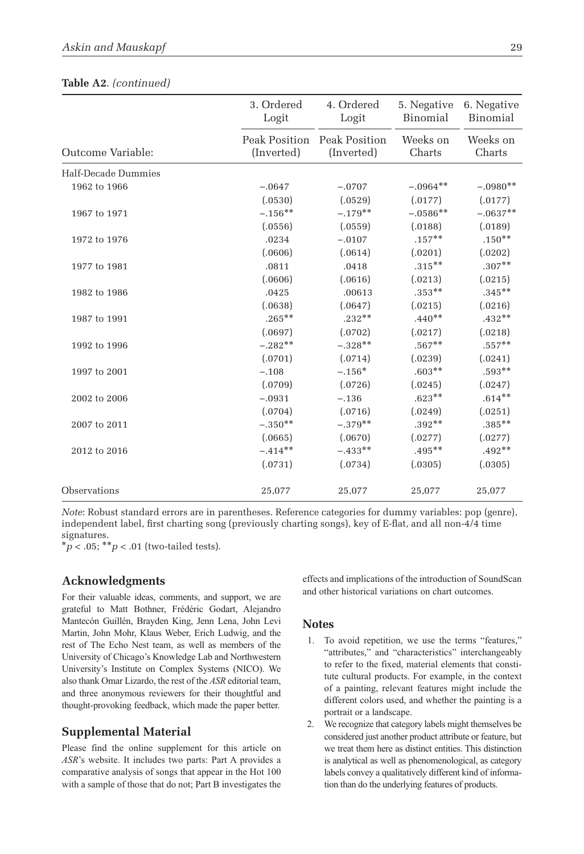|                     | 3. Ordered<br>Logit         | 4. Ordered<br>Logit         | 5. Negative<br>Binomial | 6. Negative<br>Binomial |
|---------------------|-----------------------------|-----------------------------|-------------------------|-------------------------|
| Outcome Variable:   | Peak Position<br>(Inverted) | Peak Position<br>(Inverted) | Weeks on<br>Charts      | Weeks on<br>Charts      |
| Half-Decade Dummies |                             |                             |                         |                         |
| 1962 to 1966        | $-.0647$                    | $-.0707$                    | $-.0964**$              | $-.0980**$              |
|                     | (.0530)                     | (.0529)                     | (.0177)                 | (.0177)                 |
| 1967 to 1971        | $-.156***$                  | $-.179**$                   | $-.0586**$              | $-.0637**$              |
|                     | (.0556)                     | (.0559)                     | (.0188)                 | (.0189)                 |
| 1972 to 1976        | .0234                       | $-.0107$                    | $.157***$               | $.150**$                |
|                     | (.0606)                     | (.0614)                     | (.0201)                 | (.0202)                 |
| 1977 to 1981        | .0811                       | .0418                       | $.315***$               | $.307**$                |
|                     | (.0606)                     | (.0616)                     | (.0213)                 | (.0215)                 |
| 1982 to 1986        | .0425                       | .00613                      | $.353***$               | $.345***$               |
|                     | (.0638)                     | (.0647)                     | (.0215)                 | (.0216)                 |
| 1987 to 1991        | $.265***$                   | $.232**$                    | $.440**$                | $.432**$                |
|                     | (.0697)                     | (.0702)                     | (.0217)                 | (.0218)                 |
| 1992 to 1996        | $-.282**$                   | $-.328**$                   | $.567**$                | $.557***$               |
|                     | (.0701)                     | (.0714)                     | (.0239)                 | (.0241)                 |
| 1997 to 2001        | $-.108$                     | $-.156*$                    | $.603**$                | $.593**$                |
|                     | (.0709)                     | (.0726)                     | (.0245)                 | (.0247)                 |
| 2002 to 2006        | $-.0931$                    | $-.136$                     | $.623**$                | $.614**$                |
|                     | (.0704)                     | (.0716)                     | (.0249)                 | (.0251)                 |
| 2007 to 2011        | $-.350**$                   | $-.379**$                   | $.392**$                | $.385***$               |
|                     | (.0665)                     | (.0670)                     | (.0277)                 | (.0277)                 |
| 2012 to 2016        | $-.414***$                  | $-.433***$                  | $.495***$               | $.492**$                |
|                     | (.0731)                     | (.0734)                     | (.0305)                 | (.0305)                 |
| Observations        | 25,077                      | 25,077                      | 25,077                  | 25,077                  |

|  | Table A2. (continued) |
|--|-----------------------|
|--|-----------------------|

*Note*: Robust standard errors are in parentheses. Reference categories for dummy variables: pop (genre), independent label, first charting song (previously charting songs), key of E-flat, and all non-4/4 time signatures.

\**p* < .05; \*\**p* < .01 (two-tailed tests).

## **Acknowledgments**

For their valuable ideas, comments, and support, we are grateful to Matt Bothner, Frédéric Godart, Alejandro Mantecón Guillén, Brayden King, Jenn Lena, John Levi Martin, John Mohr, Klaus Weber, Erich Ludwig, and the rest of The Echo Nest team, as well as members of the University of Chicago's Knowledge Lab and Northwestern University's Institute on Complex Systems (NICO). We also thank Omar Lizardo, the rest of the *ASR* editorial team, and three anonymous reviewers for their thoughtful and thought-provoking feedback, which made the paper better.

#### **Supplemental Material**

Please find the online supplement for this article on *ASR*'s website. It includes two parts: Part A provides a comparative analysis of songs that appear in the Hot 100 with a sample of those that do not; Part B investigates the effects and implications of the introduction of SoundScan and other historical variations on chart outcomes.

#### **Notes**

- 1. To avoid repetition, we use the terms "features," "attributes," and "characteristics" interchangeably to refer to the fixed, material elements that constitute cultural products. For example, in the context of a painting, relevant features might include the different colors used, and whether the painting is a portrait or a landscape.
- 2. We recognize that category labels might themselves be considered just another product attribute or feature, but we treat them here as distinct entities. This distinction is analytical as well as phenomenological, as category labels convey a qualitatively different kind of information than do the underlying features of products.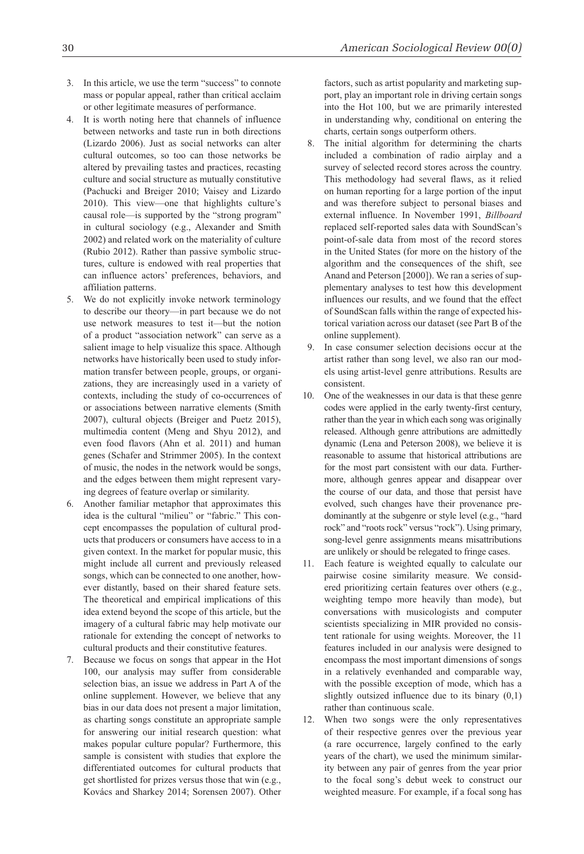- 3. In this article, we use the term "success" to connote mass or popular appeal, rather than critical acclaim or other legitimate measures of performance.
- It is worth noting here that channels of influence between networks and taste run in both directions (Lizardo 2006). Just as social networks can alter cultural outcomes, so too can those networks be altered by prevailing tastes and practices, recasting culture and social structure as mutually constitutive (Pachucki and Breiger 2010; Vaisey and Lizardo 2010). This view—one that highlights culture's causal role—is supported by the "strong program" in cultural sociology (e.g., Alexander and Smith 2002) and related work on the materiality of culture (Rubio 2012). Rather than passive symbolic structures, culture is endowed with real properties that can influence actors' preferences, behaviors, and affiliation patterns.
- 5. We do not explicitly invoke network terminology to describe our theory—in part because we do not use network measures to test it—but the notion of a product "association network" can serve as a salient image to help visualize this space. Although networks have historically been used to study information transfer between people, groups, or organizations, they are increasingly used in a variety of contexts, including the study of co-occurrences of or associations between narrative elements (Smith 2007), cultural objects (Breiger and Puetz 2015), multimedia content (Meng and Shyu 2012), and even food flavors (Ahn et al. 2011) and human genes (Schafer and Strimmer 2005). In the context of music, the nodes in the network would be songs, and the edges between them might represent varying degrees of feature overlap or similarity.
- 6. Another familiar metaphor that approximates this idea is the cultural "milieu" or "fabric." This concept encompasses the population of cultural products that producers or consumers have access to in a given context. In the market for popular music, this might include all current and previously released songs, which can be connected to one another, however distantly, based on their shared feature sets. The theoretical and empirical implications of this idea extend beyond the scope of this article, but the imagery of a cultural fabric may help motivate our rationale for extending the concept of networks to cultural products and their constitutive features.
- 7. Because we focus on songs that appear in the Hot 100, our analysis may suffer from considerable selection bias, an issue we address in Part A of the online supplement. However, we believe that any bias in our data does not present a major limitation, as charting songs constitute an appropriate sample for answering our initial research question: what makes popular culture popular? Furthermore, this sample is consistent with studies that explore the differentiated outcomes for cultural products that get shortlisted for prizes versus those that win (e.g., Kovács and Sharkey 2014; Sorensen 2007). Other

factors, such as artist popularity and marketing support, play an important role in driving certain songs into the Hot 100, but we are primarily interested in understanding why, conditional on entering the charts, certain songs outperform others.

- 8. The initial algorithm for determining the charts included a combination of radio airplay and a survey of selected record stores across the country. This methodology had several flaws, as it relied on human reporting for a large portion of the input and was therefore subject to personal biases and external influence. In November 1991, *Billboard* replaced self-reported sales data with SoundScan's point-of-sale data from most of the record stores in the United States (for more on the history of the algorithm and the consequences of the shift, see Anand and Peterson [2000]). We ran a series of supplementary analyses to test how this development influences our results, and we found that the effect of SoundScan falls within the range of expected historical variation across our dataset (see Part B of the online supplement).
- 9. In case consumer selection decisions occur at the artist rather than song level, we also ran our models using artist-level genre attributions. Results are consistent.
- 10. One of the weaknesses in our data is that these genre codes were applied in the early twenty-first century, rather than the year in which each song was originally released. Although genre attributions are admittedly dynamic (Lena and Peterson 2008), we believe it is reasonable to assume that historical attributions are for the most part consistent with our data. Furthermore, although genres appear and disappear over the course of our data, and those that persist have evolved, such changes have their provenance predominantly at the subgenre or style level (e.g., "hard rock" and "roots rock" versus "rock"). Using primary, song-level genre assignments means misattributions are unlikely or should be relegated to fringe cases.
- 11. Each feature is weighted equally to calculate our pairwise cosine similarity measure. We considered prioritizing certain features over others (e.g., weighting tempo more heavily than mode), but conversations with musicologists and computer scientists specializing in MIR provided no consistent rationale for using weights. Moreover, the 11 features included in our analysis were designed to encompass the most important dimensions of songs in a relatively evenhanded and comparable way, with the possible exception of mode, which has a slightly outsized influence due to its binary  $(0,1)$ rather than continuous scale.
- 12. When two songs were the only representatives of their respective genres over the previous year (a rare occurrence, largely confined to the early years of the chart), we used the minimum similarity between any pair of genres from the year prior to the focal song's debut week to construct our weighted measure. For example, if a focal song has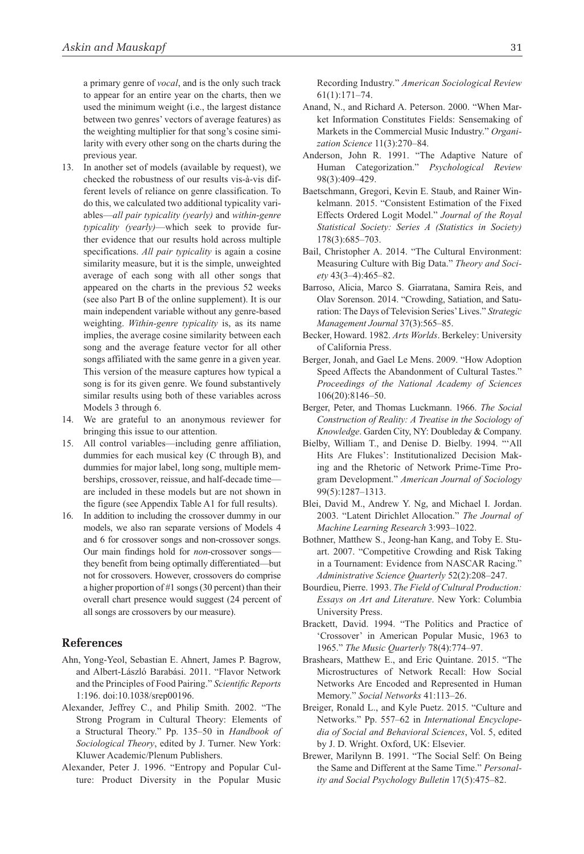a primary genre of *vocal*, and is the only such track to appear for an entire year on the charts, then we used the minimum weight (i.e., the largest distance between two genres' vectors of average features) as the weighting multiplier for that song's cosine similarity with every other song on the charts during the previous year.

- 13. In another set of models (available by request), we checked the robustness of our results vis-à-vis different levels of reliance on genre classification. To do this, we calculated two additional typicality variables—*all pair typicality (yearly)* and *within*-*genre typicality (yearly)*—which seek to provide further evidence that our results hold across multiple specifications. *All pair typicality* is again a cosine similarity measure, but it is the simple, unweighted average of each song with all other songs that appeared on the charts in the previous 52 weeks (see also Part B of the online supplement). It is our main independent variable without any genre-based weighting. *Within-genre typicality* is, as its name implies, the average cosine similarity between each song and the average feature vector for all other songs affiliated with the same genre in a given year. This version of the measure captures how typical a song is for its given genre. We found substantively similar results using both of these variables across Models 3 through 6.
- 14. We are grateful to an anonymous reviewer for bringing this issue to our attention.
- 15. All control variables—including genre affiliation, dummies for each musical key (C through B), and dummies for major label, long song, multiple memberships, crossover, reissue, and half-decade time are included in these models but are not shown in the figure (see Appendix Table A1 for full results).
- 16. In addition to including the crossover dummy in our models, we also ran separate versions of Models 4 and 6 for crossover songs and non-crossover songs. Our main findings hold for *non*-crossover songs they benefit from being optimally differentiated—but not for crossovers. However, crossovers do comprise a higher proportion of #1 songs (30 percent) than their overall chart presence would suggest (24 percent of all songs are crossovers by our measure).

#### **References**

- Ahn, Yong-Yeol, Sebastian E. Ahnert, James P. Bagrow, and Albert-László Barabási. 2011. "Flavor Network and the Principles of Food Pairing." *Scientific Reports* 1:196. doi:10.1038/srep00196.
- Alexander, Jeffrey C., and Philip Smith. 2002. "The Strong Program in Cultural Theory: Elements of a Structural Theory." Pp. 135–50 in *Handbook of Sociological Theory*, edited by J. Turner. New York: Kluwer Academic/Plenum Publishers.
- Alexander, Peter J. 1996. "Entropy and Popular Culture: Product Diversity in the Popular Music

Recording Industry." *American Sociological Review* 61(1):171–74.

- Anand, N., and Richard A. Peterson. 2000. "When Market Information Constitutes Fields: Sensemaking of Markets in the Commercial Music Industry." *Organization Science* 11(3):270–84.
- Anderson, John R. 1991. "The Adaptive Nature of Human Categorization." *Psychological Review* 98(3):409–429.
- Baetschmann, Gregori, Kevin E. Staub, and Rainer Winkelmann. 2015. "Consistent Estimation of the Fixed Effects Ordered Logit Model." *Journal of the Royal Statistical Society: Series A (Statistics in Society)* 178(3):685–703.
- Bail, Christopher A. 2014. "The Cultural Environment: Measuring Culture with Big Data." *Theory and Society* 43(3–4):465–82.
- Barroso, Alicia, Marco S. Giarratana, Samira Reis, and Olav Sorenson. 2014. "Crowding, Satiation, and Saturation: The Days of Television Series' Lives." *Strategic Management Journal* 37(3):565–85.
- Becker, Howard. 1982. *Arts Worlds*. Berkeley: University of California Press.
- Berger, Jonah, and Gael Le Mens. 2009. "How Adoption Speed Affects the Abandonment of Cultural Tastes." *Proceedings of the National Academy of Sciences* 106(20):8146–50.
- Berger, Peter, and Thomas Luckmann. 1966. *The Social Construction of Reality: A Treatise in the Sociology of Knowledge*. Garden City, NY: Doubleday & Company.
- Bielby, William T., and Denise D. Bielby. 1994. "'All Hits Are Flukes': Institutionalized Decision Making and the Rhetoric of Network Prime-Time Program Development." *American Journal of Sociology* 99(5):1287–1313.
- Blei, David M., Andrew Y. Ng, and Michael I. Jordan. 2003. "Latent Dirichlet allocation." *The Journal of Machine Learning Research* 3:993–1022.
- Bothner, Matthew S., Jeong-han Kang, and Toby E. Stuart. 2007. "Competitive Crowding and Risk Taking in a Tournament: Evidence from NASCAR Racing.' *Administrative Science Quarterly* 52(2):208–247.
- Bourdieu, Pierre. 1993. *The Field of Cultural Production: Essays on Art and Literature*. New York: Columbia University Press.
- Brackett, David. 1994. "The Politics and Practice of 'Crossover' in American Popular Music, 1963 to 1965." *The Music Quarterly* 78(4):774–97.
- Brashears, Matthew E., and Eric Quintane. 2015. "The Microstructures of Network Recall: How Social Networks Are Encoded and Represented in Human Memory." *Social Networks* 41:113–26.
- Breiger, Ronald L., and Kyle Puetz. 2015. "Culture and Networks." Pp. 557–62 in *International Encyclopedia of Social and Behavioral Sciences*, Vol. 5, edited by J. D. Wright. Oxford, UK: Elsevier.
- Brewer, Marilynn B. 1991. "The Social Self: On Being the Same and Different at the Same Time." *Personality and Social Psychology Bulletin* 17(5):475–82.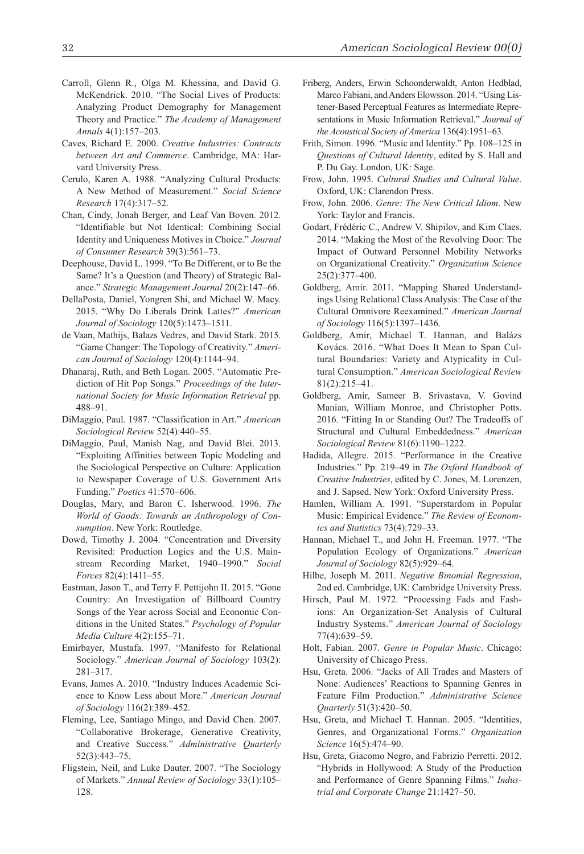- Carroll, Glenn R., Olga M. Khessina, and David G. McKendrick. 2010. "The Social Lives of Products: Analyzing Product Demography for Management Theory and Practice." *The Academy of Management Annals* 4(1):157–203.
- Caves, Richard E. 2000. *Creative Industries: Contracts between Art and Commerce*. Cambridge, MA: Harvard University Press.
- Cerulo, Karen A. 1988. "Analyzing Cultural Products: A New Method of Measurement." *Social Science Research* 17(4):317–52.
- Chan, Cindy, Jonah Berger, and Leaf Van Boven. 2012. "Identifiable but Not Identical: Combining Social Identity and Uniqueness Motives in Choice." *Journal of Consumer Research* 39(3):561–73.
- Deephouse, David L. 1999. "To Be Different, or to Be the Same? It's a Question (and Theory) of Strategic Balance." *Strategic Management Journal* 20(2):147–66.
- DellaPosta, Daniel, Yongren Shi, and Michael W. Macy. 2015. "Why Do Liberals Drink Lattes?" *American Journal of Sociology* 120(5):1473–1511.
- de Vaan, Mathijs, Balazs Vedres, and David Stark. 2015. "Game Changer: The Topology of Creativity." *American Journal of Sociology* 120(4):1144–94.
- Dhanaraj, Ruth, and Beth Logan. 2005. "Automatic Prediction of Hit Pop Songs." *Proceedings of the International Society for Music Information Retrieval* pp. 488–91.
- DiMaggio, Paul. 1987. "Classification in Art." *American Sociological Review* 52(4):440–55.
- DiMaggio, Paul, Manish Nag, and David Blei. 2013. "Exploiting Affinities between Topic Modeling and the Sociological Perspective on Culture: Application to Newspaper Coverage of U.S. Government Arts Funding." *Poetics* 41:570–606.
- Douglas, Mary, and Baron C. Isherwood. 1996. *The World of Goods: Towards an Anthropology of Consumption*. New York: Routledge.
- Dowd, Timothy J. 2004. "Concentration and Diversity Revisited: Production Logics and the U.S. Mainstream Recording Market, 1940–1990." *Social Forces* 82(4):1411–55.
- Eastman, Jason T., and Terry F. Pettijohn II. 2015. "Gone Country: An Investigation of Billboard Country Songs of the Year across Social and Economic Conditions in the United States." *Psychology of Popular Media Culture* 4(2):155–71.
- Emirbayer, Mustafa. 1997. "Manifesto for Relational Sociology." *American Journal of Sociology* 103(2): 281–317.
- Evans, James A. 2010. "Industry Induces Academic Science to Know Less about More." *American Journal of Sociology* 116(2):389–452.
- Fleming, Lee, Santiago Mingo, and David Chen. 2007. "Collaborative Brokerage, Generative Creativity, and Creative Success." *Administrative Quarterly* 52(3):443–75.
- Fligstein, Neil, and Luke Dauter. 2007. "The Sociology of Markets." *Annual Review of Sociology* 33(1):105– 128.
- Friberg, Anders, Erwin Schoonderwaldt, Anton Hedblad, Marco Fabiani, and Anders Elowsson. 2014. "Using Listener-Based Perceptual Features as Intermediate Representations in Music Information Retrieval." *Journal of the Acoustical Society of America* 136(4):1951–63.
- Frith, Simon. 1996. "Music and Identity." Pp. 108–125 in *Questions of Cultural Identity*, edited by S. Hall and P. Du Gay. London, UK: Sage.
- Frow, John. 1995. *Cultural Studies and Cultural Value*. Oxford, UK: Clarendon Press.
- Frow, John. 2006. *Genre: The New Critical Idiom*. New York: Taylor and Francis.
- Godart, Frédéric C., Andrew V. Shipilov, and Kim Claes. 2014. "Making the Most of the Revolving Door: The Impact of Outward Personnel Mobility Networks on Organizational Creativity." *Organization Science* 25(2):377–400.
- Goldberg, Amir. 2011. "Mapping Shared Understandings Using Relational Class Analysis: The Case of the Cultural Omnivore Reexamined." *American Journal of Sociology* 116(5):1397–1436.
- Goldberg, Amir, Michael T. Hannan, and Balázs Kovács. 2016. "What Does It Mean to Span Cultural Boundaries: Variety and Atypicality in Cultural Consumption." *American Sociological Review* 81(2):215–41.
- Goldberg, Amir, Sameer B. Srivastava, V. Govind Manian, William Monroe, and Christopher Potts. 2016. "Fitting In or Standing Out? The Tradeoffs of Structural and Cultural Embeddedness." *American Sociological Review* 81(6):1190–1222.
- Hadida, Allegre. 2015. "Performance in the Creative Industries." Pp. 219–49 in *The Oxford Handbook of Creative Industries*, edited by C. Jones, M. Lorenzen, and J. Sapsed. New York: Oxford University Press.
- Hamlen, William A. 1991. "Superstardom in Popular Music: Empirical Evidence." *The Review of Economics and Statistics* 73(4):729–33.
- Hannan, Michael T., and John H. Freeman. 1977. "The Population Ecology of Organizations." *American Journal of Sociology* 82(5):929–64.
- Hilbe, Joseph M. 2011. *Negative Binomial Regression*, 2nd ed. Cambridge, UK: Cambridge University Press.
- Hirsch, Paul M. 1972. "Processing Fads and Fashions: An Organization-Set Analysis of Cultural Industry Systems." *American Journal of Sociology* 77(4):639–59.
- Holt, Fabian. 2007. *Genre in Popular Music*. Chicago: University of Chicago Press.
- Hsu, Greta. 2006. "Jacks of All Trades and Masters of None: Audiences' Reactions to Spanning Genres in Feature Film Production." *Administrative Science Quarterly* 51(3):420–50.
- Hsu, Greta, and Michael T. Hannan. 2005. "Identities, Genres, and Organizational Forms." *Organization Science* 16(5):474–90.
- Hsu, Greta, Giacomo Negro, and Fabrizio Perretti. 2012. "Hybrids in Hollywood: A Study of the Production and Performance of Genre Spanning Films." *Industrial and Corporate Change* 21:1427–50.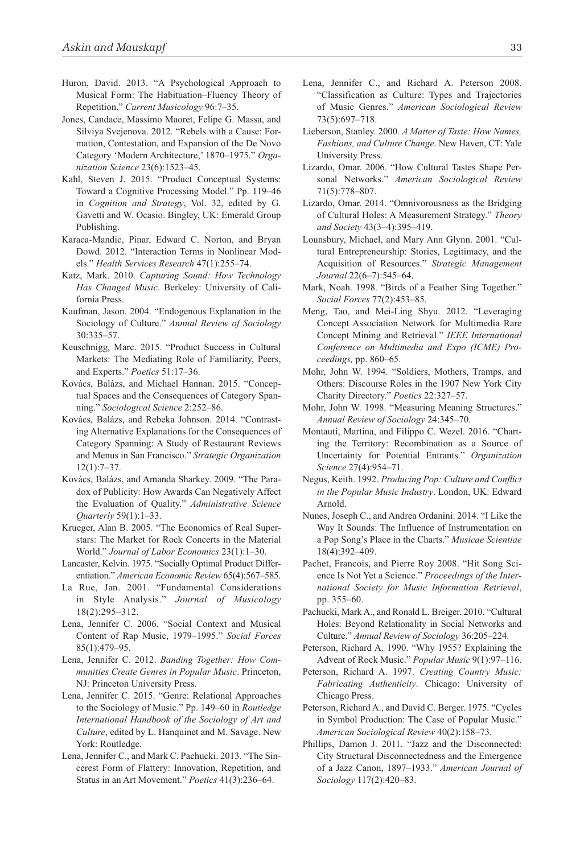- Huron, David. 2013. "A Psychological Approach to Musical Form: The Habituation–Fluency Theory of Repetition." *Current Musicology* 96:7–35.
- Jones, Candace, Massimo Maoret, Felipe G. Massa, and Silviya Svejenova. 2012. "Rebels with a Cause: Formation, Contestation, and Expansion of the De Novo Category 'Modern Architecture,' 1870–1975." *Organization Science* 23(6):1523–45.
- Kahl, Steven J. 2015. "Product Conceptual Systems: Toward a Cognitive Processing Model." Pp. 119–46 in *Cognition and Strategy*, Vol. 32, edited by G. Gavetti and W. Ocasio. Bingley, UK: Emerald Group Publishing.
- Karaca-Mandic, Pinar, Edward C. Norton, and Bryan Dowd. 2012. "Interaction Terms in Nonlinear Models." *Health Services Research* 47(1):255–74.
- Katz, Mark. 2010. *Capturing Sound: How Technology Has Changed Music*. Berkeley: University of California Press.
- Kaufman, Jason. 2004. "Endogenous Explanation in the Sociology of Culture." *Annual Review of Sociology* 30:335–57.
- Keuschnigg, Marc. 2015. "Product Success in Cultural Markets: The Mediating Role of Familiarity, Peers, and Experts." *Poetics* 51:17–36.
- Kovács, Balázs, and Michael Hannan. 2015. "Conceptual Spaces and the Consequences of Category Spanning." *Sociological Science* 2:252–86.
- Kovács, Balázs, and Rebeka Johnson. 2014. "Contrasting Alternative Explanations for the Consequences of Category Spanning: A Study of Restaurant Reviews and Menus in San Francisco." *Strategic Organization* 12(1):7–37.
- Kovács, Balázs, and Amanda Sharkey. 2009. "The Paradox of Publicity: How Awards Can Negatively Affect the Evaluation of Quality." *Administrative Science Quarterly* 59(1):1–33.
- Krueger, Alan B. 2005. "The Economics of Real Superstars: The Market for Rock Concerts in the Material World." *Journal of Labor Economics* 23(1):1–30.
- Lancaster, Kelvin. 1975. "Socially Optimal Product Differentiation." *American Economic Review* 65(4):567–585.
- La Rue, Jan. 2001. "Fundamental Considerations in Style Analysis." *Journal of Musicology* 18(2):295–312.
- Lena, Jennifer C. 2006. "Social Context and Musical Content of Rap Music, 1979–1995." *Social Forces* 85(1):479–95.
- Lena, Jennifer C. 2012. *Banding Together: How Communities Create Genres in Popular Music*. Princeton, NJ: Princeton University Press.
- Lena, Jennifer C. 2015. "Genre: Relational Approaches to the Sociology of Music." Pp. 149–60 in *Routledge International Handbook of the Sociology of Art and Culture*, edited by L. Hanquinet and M. Savage. New York: Routledge.
- Lena, Jennifer C., and Mark C. Pachucki. 2013. "The Sincerest Form of Flattery: Innovation, Repetition, and Status in an Art Movement." *Poetics* 41(3):236–64.
- Lena, Jennifer C., and Richard A. Peterson 2008. "Classification as Culture: Types and Trajectories of Music Genres." *American Sociological Review* 73(5):697–718.
- Lieberson, Stanley. 2000. *A Matter of Taste: How Names, Fashions, and Culture Change*. New Haven, CT: Yale University Press.
- Lizardo, Omar. 2006. "How Cultural Tastes Shape Personal Networks." *American Sociological Review* 71(5):778–807.
- Lizardo, Omar. 2014. "Omnivorousness as the Bridging of Cultural Holes: A Measurement Strategy." *Theory and Society* 43(3–4):395–419.
- Lounsbury, Michael, and Mary Ann Glynn. 2001. "Cultural Entrepreneurship: Stories, Legitimacy, and the Acquisition of Resources." *Strategic Management Journal* 22(6–7):545–64.
- Mark, Noah. 1998. "Birds of a Feather Sing Together." *Social Forces* 77(2):453–85.
- Meng, Tao, and Mei-Ling Shyu. 2012. "Leveraging Concept Association Network for Multimedia Rare Concept Mining and Retrieval." *IEEE International Conference on Multimedia and Expo (ICME) Proceedings,* pp. 860–65.
- Mohr, John W. 1994. "Soldiers, Mothers, Tramps, and Others: Discourse Roles in the 1907 New York City Charity Directory." *Poetics* 22:327–57.
- Mohr, John W. 1998. "Measuring Meaning Structures." *Annual Review of Sociology* 24:345–70.
- Montauti, Martina, and Filippo C. Wezel. 2016. "Charting the Territory: Recombination as a Source of Uncertainty for Potential Entrants." *Organization Science* 27(4):954–71.
- Negus, Keith. 1992. *Producing Pop: Culture and Conflict in the Popular Music Industry*. London, UK: Edward Arnold.
- Nunes, Joseph C., and Andrea Ordanini. 2014. "I Like the Way It Sounds: The Influence of Instrumentation on a Pop Song's Place in the Charts." *Musicae Scientiae* 18(4):392–409.
- Pachet, Francois, and Pierre Roy 2008. "Hit Song Science Is Not Yet a Science." *Proceedings of the International Society for Music Information Retrieval*, pp. 355–60.
- Pachucki, Mark A., and Ronald L. Breiger. 2010. "Cultural Holes: Beyond Relationality in Social Networks and Culture." *Annual Review of Sociology* 36:205–224.
- Peterson, Richard A. 1990. "Why 1955? Explaining the Advent of Rock Music." *Popular Music* 9(1):97–116.
- Peterson, Richard A. 1997. *Creating Country Music: Fabricating Authenticity*. Chicago: University of Chicago Press.
- Peterson, Richard A., and David C. Berger. 1975. "Cycles in Symbol Production: The Case of Popular Music." *American Sociological Review* 40(2):158–73.
- Phillips, Damon J. 2011. "Jazz and the Disconnected: City Structural Disconnectedness and the Emergence of a Jazz Canon, 1897–1933." *American Journal of Sociology* 117(2):420–83.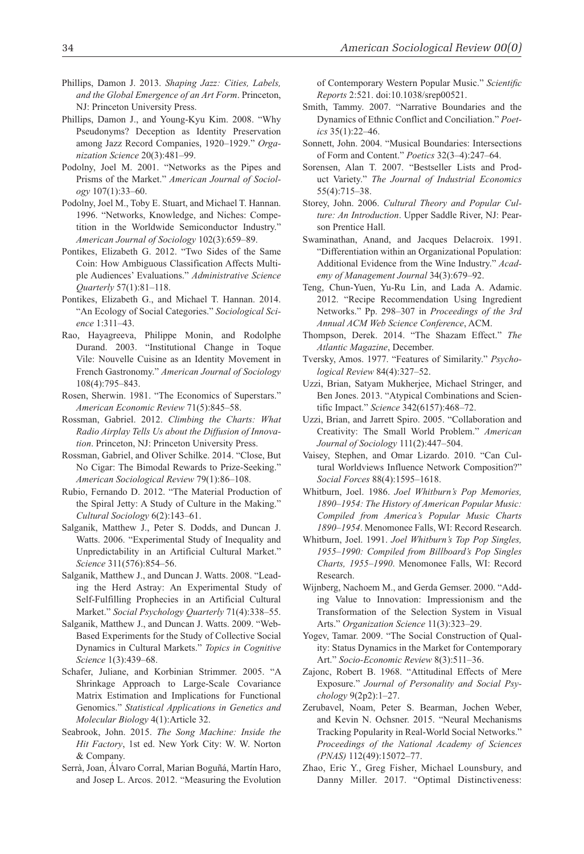- Phillips, Damon J. 2013. *Shaping Jazz: Cities, Labels, and the Global Emergence of an Art Form*. Princeton, NJ: Princeton University Press.
- Phillips, Damon J., and Young-Kyu Kim. 2008. "Why Pseudonyms? Deception as Identity Preservation among Jazz Record Companies, 1920–1929." *Organization Science* 20(3):481–99.
- Podolny, Joel M. 2001. "Networks as the Pipes and Prisms of the Market." *American Journal of Sociology* 107(1):33–60.
- Podolny, Joel M., Toby E. Stuart, and Michael T. Hannan. 1996. "Networks, Knowledge, and Niches: Competition in the Worldwide Semiconductor Industry." *American Journal of Sociology* 102(3):659–89.
- Pontikes, Elizabeth G. 2012. "Two Sides of the Same Coin: How Ambiguous Classification Affects Multiple Audiences' Evaluations." *Administrative Science Quarterly* 57(1):81–118.
- Pontikes, Elizabeth G., and Michael T. Hannan. 2014. "An Ecology of Social Categories." *Sociological Science* 1:311–43.
- Rao, Hayagreeva, Philippe Monin, and Rodolphe Durand. 2003. "Institutional Change in Toque Vile: Nouvelle Cuisine as an Identity Movement in French Gastronomy." *American Journal of Sociology* 108(4):795–843.
- Rosen, Sherwin. 1981. "The Economics of Superstars." *American Economic Review* 71(5):845–58.
- Rossman, Gabriel. 2012. *Climbing the Charts: What Radio Airplay Tells Us about the Diffusion of Innovation*. Princeton, NJ: Princeton University Press.
- Rossman, Gabriel, and Oliver Schilke. 2014. "Close, But No Cigar: The Bimodal Rewards to Prize-Seeking." *American Sociological Review* 79(1):86–108.
- Rubio, Fernando D. 2012. "The Material Production of the Spiral Jetty: A Study of Culture in the Making." *Cultural Sociology* 6(2):143–61.
- Salganik, Matthew J., Peter S. Dodds, and Duncan J. Watts. 2006. "Experimental Study of Inequality and Unpredictability in an Artificial Cultural Market." *Science* 311(576):854–56.
- Salganik, Matthew J., and Duncan J. Watts. 2008. "Leading the Herd Astray: An Experimental Study of Self-Fulfilling Prophecies in an Artificial Cultural Market." *Social Psychology Quarterly* 71(4):338–55.
- Salganik, Matthew J., and Duncan J. Watts. 2009. "Web-Based Experiments for the Study of Collective Social Dynamics in Cultural Markets." *Topics in Cognitive Science* 1(3):439–68.
- Schafer, Juliane, and Korbinian Strimmer. 2005. "A Shrinkage Approach to Large-Scale Covariance Matrix Estimation and Implications for Functional Genomics." *Statistical Applications in Genetics and Molecular Biology* 4(1):Article 32.
- Seabrook, John. 2015. *The Song Machine: Inside the Hit Factory*, 1st ed. New York City: W. W. Norton & Company.
- Serrà, Joan, Álvaro Corral, Marian Boguñá, Martín Haro, and Josep L. Arcos. 2012. "Measuring the Evolution

of Contemporary Western Popular Music." *Scientific Reports* 2:521. doi:10.1038/srep00521.

- Smith, Tammy. 2007. "Narrative Boundaries and the Dynamics of Ethnic Conflict and Conciliation." *Poetics* 35(1):22–46.
- Sonnett, John. 2004. "Musical Boundaries: Intersections of Form and Content." *Poetics* 32(3–4):247–64.
- Sorensen, Alan T. 2007. "Bestseller Lists and Product Variety." *The Journal of Industrial Economics* 55(4):715–38.
- Storey, John. 2006. *Cultural Theory and Popular Culture: An Introduction*. Upper Saddle River, NJ: Pearson Prentice Hall.
- Swaminathan, Anand, and Jacques Delacroix. 1991. "Differentiation within an Organizational Population: Additional Evidence from the Wine Industry." *Academy of Management Journal* 34(3):679–92.
- Teng, Chun-Yuen, Yu-Ru Lin, and Lada A. Adamic. 2012. "Recipe Recommendation Using Ingredient Networks." Pp. 298–307 in *Proceedings of the 3rd Annual ACM Web Science Conference*, ACM.
- Thompson, Derek. 2014. "The Shazam Effect." *The Atlantic Magazine*, December.
- Tversky, Amos. 1977. "Features of Similarity." *Psychological Review* 84(4):327–52.
- Uzzi, Brian, Satyam Mukherjee, Michael Stringer, and Ben Jones. 2013. "Atypical Combinations and Scientific Impact." *Science* 342(6157):468–72.
- Uzzi, Brian, and Jarrett Spiro. 2005. "Collaboration and Creativity: The Small World Problem." *American Journal of Sociology* 111(2):447–504.
- Vaisey, Stephen, and Omar Lizardo. 2010. "Can Cultural Worldviews Influence Network Composition?" *Social Forces* 88(4):1595–1618.
- Whitburn, Joel. 1986. *Joel Whitburn's Pop Memories, 1890–1954: The History of American Popular Music: Compiled from America's Popular Music Charts 1890–1954*. Menomonee Falls, WI: Record Research.
- Whitburn, Joel. 1991. *Joel Whitburn's Top Pop Singles, 1955–1990: Compiled from Billboard's Pop Singles Charts, 1955–1990*. Menomonee Falls, WI: Record Research.
- Wijnberg, Nachoem M., and Gerda Gemser. 2000. "Adding Value to Innovation: Impressionism and the Transformation of the Selection System in Visual Arts." *Organization Science* 11(3):323–29.
- Yogev, Tamar. 2009. "The Social Construction of Quality: Status Dynamics in the Market for Contemporary Art." *Socio-Economic Review* 8(3):511–36.
- Zajonc, Robert B. 1968. "Attitudinal Effects of Mere Exposure." *Journal of Personality and Social Psychology* 9(2p2):1–27.
- Zerubavel, Noam, Peter S. Bearman, Jochen Weber, and Kevin N. Ochsner. 2015. "Neural Mechanisms Tracking Popularity in Real-World Social Networks." *Proceedings of the National Academy of Sciences (PNAS)* 112(49):15072–77.
- Zhao, Eric Y., Greg Fisher, Michael Lounsbury, and Danny Miller. 2017. "Optimal Distinctiveness: